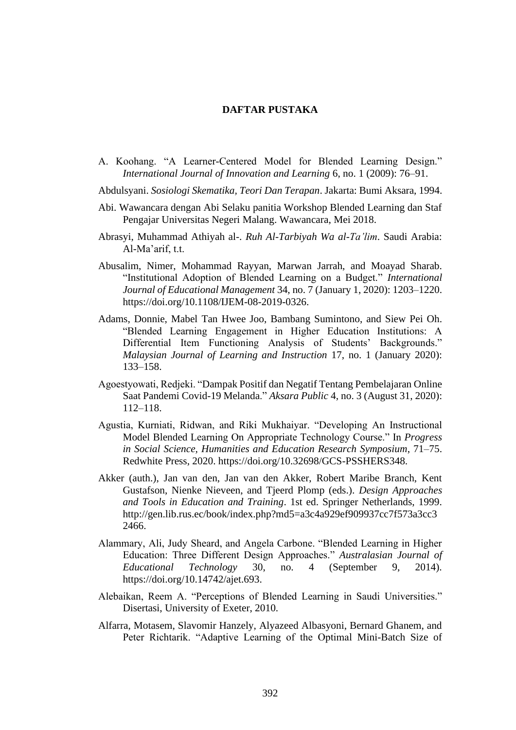## **DAFTAR PUSTAKA**

A. Koohang. "A Learner-Centered Model for Blended Learning Design." *International Journal of Innovation and Learning* 6, no. 1 (2009): 76–91.

Abdulsyani. *Sosiologi Skematika, Teori Dan Terapan*. Jakarta: Bumi Aksara, 1994.

- Abi. Wawancara dengan Abi Selaku panitia Workshop Blended Learning dan Staf Pengajar Universitas Negeri Malang. Wawancara, Mei 2018.
- Abrasyi, Muhammad Athiyah al-. *Ruh Al-Tarbiyah Wa al-Ta'lim*. Saudi Arabia: Al-Ma'arif, t.t.
- Abusalim, Nimer, Mohammad Rayyan, Marwan Jarrah, and Moayad Sharab. "Institutional Adoption of Blended Learning on a Budget." *International Journal of Educational Management* 34, no. 7 (January 1, 2020): 1203–1220. https://doi.org/10.1108/IJEM-08-2019-0326.
- Adams, Donnie, Mabel Tan Hwee Joo, Bambang Sumintono, and Siew Pei Oh. "Blended Learning Engagement in Higher Education Institutions: A Differential Item Functioning Analysis of Students' Backgrounds." *Malaysian Journal of Learning and Instruction* 17, no. 1 (January 2020): 133–158.
- Agoestyowati, Redjeki. "Dampak Positif dan Negatif Tentang Pembelajaran Online Saat Pandemi Covid-19 Melanda." *Aksara Public* 4, no. 3 (August 31, 2020): 112–118.
- Agustia, Kurniati, Ridwan, and Riki Mukhaiyar. "Developing An Instructional Model Blended Learning On Appropriate Technology Course." In *Progress in Social Science, Humanities and Education Research Symposium*, 71–75. Redwhite Press, 2020. https://doi.org/10.32698/GCS-PSSHERS348.
- Akker (auth.), Jan van den, Jan van den Akker, Robert Maribe Branch, Kent Gustafson, Nienke Nieveen, and Tjeerd Plomp (eds.). *Design Approaches and Tools in Education and Training*. 1st ed. Springer Netherlands, 1999. http://gen.lib.rus.ec/book/index.php?md5=a3c4a929ef909937cc7f573a3cc3 2466.
- Alammary, Ali, Judy Sheard, and Angela Carbone. "Blended Learning in Higher Education: Three Different Design Approaches." *Australasian Journal of Educational Technology* 30, no. 4 (September 9, 2014). https://doi.org/10.14742/ajet.693.
- Alebaikan, Reem A. "Perceptions of Blended Learning in Saudi Universities." Disertasi, University of Exeter, 2010.
- Alfarra, Motasem, Slavomir Hanzely, Alyazeed Albasyoni, Bernard Ghanem, and Peter Richtarik. "Adaptive Learning of the Optimal Mini-Batch Size of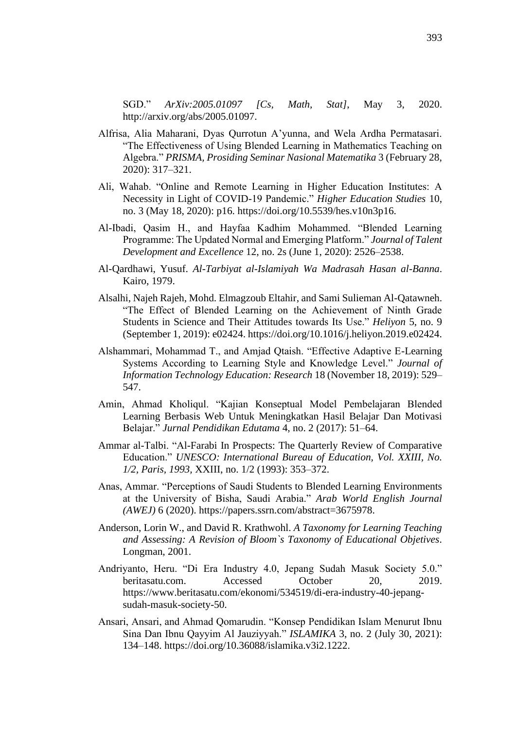SGD." *ArXiv:2005.01097 [Cs, Math, Stat]*, May 3, 2020. http://arxiv.org/abs/2005.01097.

- Alfrisa, Alia Maharani, Dyas Qurrotun A'yunna, and Wela Ardha Permatasari. "The Effectiveness of Using Blended Learning in Mathematics Teaching on Algebra." *PRISMA, Prosiding Seminar Nasional Matematika* 3 (February 28, 2020): 317–321.
- Ali, Wahab. "Online and Remote Learning in Higher Education Institutes: A Necessity in Light of COVID-19 Pandemic." *Higher Education Studies* 10, no. 3 (May 18, 2020): p16. https://doi.org/10.5539/hes.v10n3p16.
- Al-Ibadi, Qasim H., and Hayfaa Kadhim Mohammed. "Blended Learning Programme: The Updated Normal and Emerging Platform." *Journal of Talent Development and Excellence* 12, no. 2s (June 1, 2020): 2526–2538.
- Al-Qardhawi, Yusuf. *Al-Tarbiyat al-Islamiyah Wa Madrasah Hasan al-Banna*. Kairo, 1979.
- Alsalhi, Najeh Rajeh, Mohd. Elmagzoub Eltahir, and Sami Sulieman Al-Qatawneh. "The Effect of Blended Learning on the Achievement of Ninth Grade Students in Science and Their Attitudes towards Its Use." *Heliyon* 5, no. 9 (September 1, 2019): e02424. https://doi.org/10.1016/j.heliyon.2019.e02424.
- Alshammari, Mohammad T., and Amjad Qtaish. "Effective Adaptive E-Learning Systems According to Learning Style and Knowledge Level." *Journal of Information Technology Education: Research* 18 (November 18, 2019): 529– 547.
- Amin, Ahmad Kholiqul. "Kajian Konseptual Model Pembelajaran Blended Learning Berbasis Web Untuk Meningkatkan Hasil Belajar Dan Motivasi Belajar." *Jurnal Pendidikan Edutama* 4, no. 2 (2017): 51–64.
- Ammar al-Talbi. "Al-Farabi In Prospects: The Quarterly Review of Comparative Education." *UNESCO: International Bureau of Education, Vol. XXIII, No. 1/2, Paris, 1993,* XXIII, no. 1/2 (1993): 353–372.
- Anas, Ammar. "Perceptions of Saudi Students to Blended Learning Environments at the University of Bisha, Saudi Arabia." *Arab World English Journal (AWEJ)* 6 (2020). https://papers.ssrn.com/abstract=3675978.
- Anderson, Lorin W., and David R. Krathwohl. *A Taxonomy for Learning Teaching and Assessing: A Revision of Bloom`s Taxonomy of Educational Objetives*. Longman, 2001.
- Andriyanto, Heru. "Di Era Industry 4.0, Jepang Sudah Masuk Society 5.0." beritasatu.com. Accessed October 20, 2019. https://www.beritasatu.com/ekonomi/534519/di-era-industry-40-jepangsudah-masuk-society-50.
- Ansari, Ansari, and Ahmad Qomarudin. "Konsep Pendidikan Islam Menurut Ibnu Sina Dan Ibnu Qayyim Al Jauziyyah." *ISLAMIKA* 3, no. 2 (July 30, 2021): 134–148. https://doi.org/10.36088/islamika.v3i2.1222.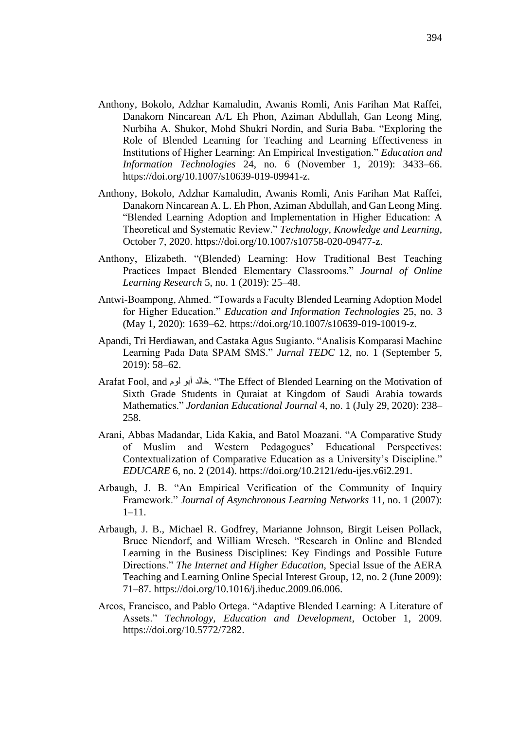- Anthony, Bokolo, Adzhar Kamaludin, Awanis Romli, Anis Farihan Mat Raffei, Danakorn Nincarean A/L Eh Phon, Aziman Abdullah, Gan Leong Ming, Nurbiha A. Shukor, Mohd Shukri Nordin, and Suria Baba. "Exploring the Role of Blended Learning for Teaching and Learning Effectiveness in Institutions of Higher Learning: An Empirical Investigation." *Education and Information Technologies* 24, no. 6 (November 1, 2019): 3433–66. https://doi.org/10.1007/s10639-019-09941-z.
- Anthony, Bokolo, Adzhar Kamaludin, Awanis Romli, Anis Farihan Mat Raffei, Danakorn Nincarean A. L. Eh Phon, Aziman Abdullah, and Gan Leong Ming. "Blended Learning Adoption and Implementation in Higher Education: A Theoretical and Systematic Review." *Technology, Knowledge and Learning*, October 7, 2020. https://doi.org/10.1007/s10758-020-09477-z.
- Anthony, Elizabeth. "(Blended) Learning: How Traditional Best Teaching Practices Impact Blended Elementary Classrooms." *Journal of Online Learning Research* 5, no. 1 (2019): 25–48.
- Antwi-Boampong, Ahmed. "Towards a Faculty Blended Learning Adoption Model for Higher Education." *Education and Information Technologies* 25, no. 3 (May 1, 2020): 1639–62. https://doi.org/10.1007/s10639-019-10019-z.
- Apandi, Tri Herdiawan, and Castaka Agus Sugianto. "Analisis Komparasi Machine Learning Pada Data SPAM SMS." *Jurnal TEDC* 12, no. 1 (September 5, 2019): 58–62.
- Arafat Fool, and لوم أبو خالد." The Effect of Blended Learning on the Motivation of Sixth Grade Students in Quraiat at Kingdom of Saudi Arabia towards Mathematics." *Jordanian Educational Journal* 4, no. 1 (July 29, 2020): 238– 258.
- Arani, Abbas Madandar, Lida Kakia, and Batol Moazani. "A Comparative Study of Muslim and Western Pedagogues' Educational Perspectives: Contextualization of Comparative Education as a University's Discipline." *EDUCARE* 6, no. 2 (2014). https://doi.org/10.2121/edu-ijes.v6i2.291.
- Arbaugh, J. B. "An Empirical Verification of the Community of Inquiry Framework." *Journal of Asynchronous Learning Networks* 11, no. 1 (2007): 1–11.
- Arbaugh, J. B., Michael R. Godfrey, Marianne Johnson, Birgit Leisen Pollack, Bruce Niendorf, and William Wresch. "Research in Online and Blended Learning in the Business Disciplines: Key Findings and Possible Future Directions." *The Internet and Higher Education*, Special Issue of the AERA Teaching and Learning Online Special Interest Group, 12, no. 2 (June 2009): 71–87. https://doi.org/10.1016/j.iheduc.2009.06.006.
- Arcos, Francisco, and Pablo Ortega. "Adaptive Blended Learning: A Literature of Assets." *Technology, Education and Development*, October 1, 2009. https://doi.org/10.5772/7282.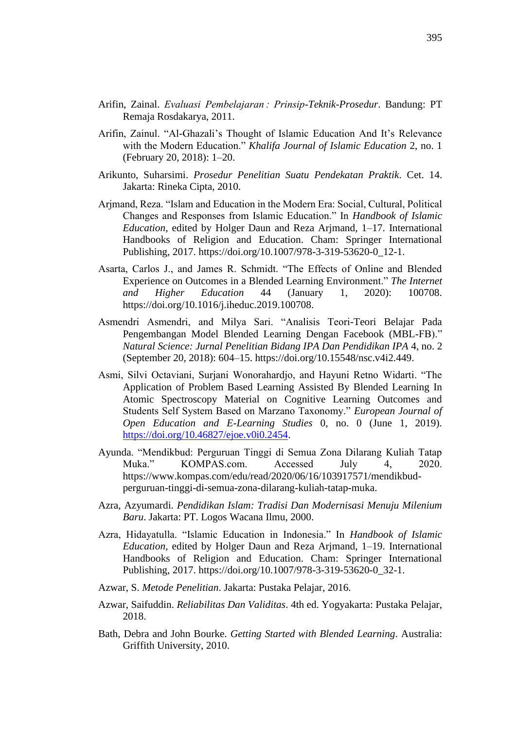- Arifin, Zainal. *Evaluasi Pembelajaran : Prinsip-Teknik-Prosedur*. Bandung: PT Remaja Rosdakarya, 2011.
- Arifin, Zainul. "Al-Ghazali's Thought of Islamic Education And It's Relevance with the Modern Education." *Khalifa Journal of Islamic Education* 2, no. 1 (February 20, 2018): 1–20.
- Arikunto, Suharsimi. *Prosedur Penelitian Suatu Pendekatan Praktik*. Cet. 14. Jakarta: Rineka Cipta, 2010.
- Arjmand, Reza. "Islam and Education in the Modern Era: Social, Cultural, Political Changes and Responses from Islamic Education." In *Handbook of Islamic Education*, edited by Holger Daun and Reza Arjmand, 1–17. International Handbooks of Religion and Education. Cham: Springer International Publishing, 2017. https://doi.org/10.1007/978-3-319-53620-0\_12-1.
- Asarta, Carlos J., and James R. Schmidt. "The Effects of Online and Blended Experience on Outcomes in a Blended Learning Environment." *The Internet and Higher Education* 44 (January 1, 2020): 100708. https://doi.org/10.1016/j.iheduc.2019.100708.
- Asmendri Asmendri, and Milya Sari. "Analisis Teori-Teori Belajar Pada Pengembangan Model Blended Learning Dengan Facebook (MBL-FB)." *Natural Science: Jurnal Penelitian Bidang IPA Dan Pendidikan IPA* 4, no. 2 (September 20, 2018): 604–15. https://doi.org/10.15548/nsc.v4i2.449.
- Asmi, Silvi Octaviani, Surjani Wonorahardjo, and Hayuni Retno Widarti. "The Application of Problem Based Learning Assisted By Blended Learning In Atomic Spectroscopy Material on Cognitive Learning Outcomes and Students Self System Based on Marzano Taxonomy." *European Journal of Open Education and E-Learning Studies* 0, no. 0 (June 1, 2019). [https://doi.org/10.46827/ejoe.v0i0.2454.](https://doi.org/10.46827/ejoe.v0i0.2454)
- Ayunda. "Mendikbud: Perguruan Tinggi di Semua Zona Dilarang Kuliah Tatap Muka." KOMPAS.com. Accessed July 4, 2020. https://www.kompas.com/edu/read/2020/06/16/103917571/mendikbudperguruan-tinggi-di-semua-zona-dilarang-kuliah-tatap-muka.
- Azra, Azyumardi. *Pendidikan Islam: Tradisi Dan Modernisasi Menuju Milenium Baru*. Jakarta: PT. Logos Wacana Ilmu, 2000.
- Azra, Hidayatulla. "Islamic Education in Indonesia." In *Handbook of Islamic Education*, edited by Holger Daun and Reza Arjmand, 1–19. International Handbooks of Religion and Education. Cham: Springer International Publishing, 2017. https://doi.org/10.1007/978-3-319-53620-0\_32-1.
- Azwar, S. *Metode Penelitian*. Jakarta: Pustaka Pelajar, 2016.
- Azwar, Saifuddin. *Reliabilitas Dan Validitas*. 4th ed. Yogyakarta: Pustaka Pelajar, 2018.
- Bath, Debra and John Bourke. *Getting Started with Blended Learning*. Australia: Griffith University, 2010.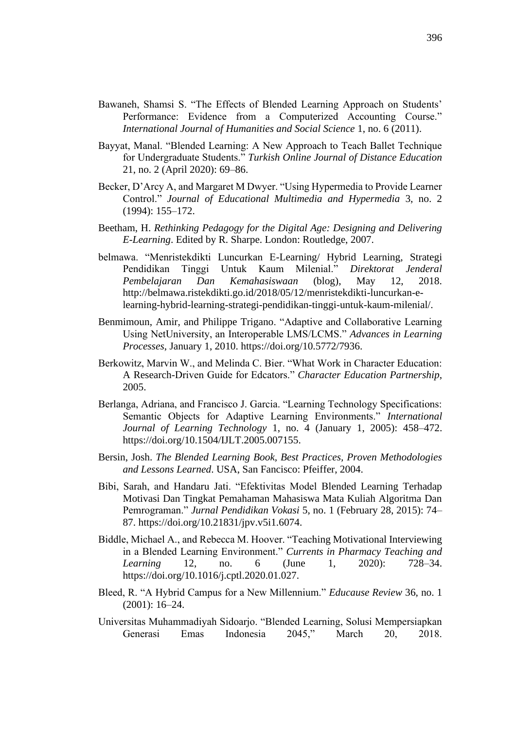- Bawaneh, Shamsi S. "The Effects of Blended Learning Approach on Students' Performance: Evidence from a Computerized Accounting Course." *International Journal of Humanities and Social Science* 1, no. 6 (2011).
- Bayyat, Manal. "Blended Learning: A New Approach to Teach Ballet Technique for Undergraduate Students." *Turkish Online Journal of Distance Education* 21, no. 2 (April 2020): 69–86.
- Becker, D'Arcy A, and Margaret M Dwyer. "Using Hypermedia to Provide Learner Control." *Journal of Educational Multimedia and Hypermedia* 3, no. 2 (1994): 155–172.
- Beetham, H. *Rethinking Pedagogy for the Digital Age: Designing and Delivering E-Learning*. Edited by R. Sharpe. London: Routledge, 2007.
- belmawa. "Menristekdikti Luncurkan E-Learning/ Hybrid Learning, Strategi Pendidikan Tinggi Untuk Kaum Milenial." *Direktorat Jenderal Pembelajaran Dan Kemahasiswaan* (blog), May 12, 2018. http://belmawa.ristekdikti.go.id/2018/05/12/menristekdikti-luncurkan-elearning-hybrid-learning-strategi-pendidikan-tinggi-untuk-kaum-milenial/.
- Benmimoun, Amir, and Philippe Trigano. "Adaptive and Collaborative Learning Using NetUniversity, an Interoperable LMS/LCMS." *Advances in Learning Processes*, January 1, 2010. https://doi.org/10.5772/7936.
- Berkowitz, Marvin W., and Melinda C. Bier. "What Work in Character Education: A Research-Driven Guide for Edcators." *Character Education Partnership*, 2005.
- Berlanga, Adriana, and Francisco J. Garcia. "Learning Technology Specifications: Semantic Objects for Adaptive Learning Environments." *International Journal of Learning Technology* 1, no. 4 (January 1, 2005): 458–472. https://doi.org/10.1504/IJLT.2005.007155.
- Bersin, Josh. *The Blended Learning Book, Best Practices, Proven Methodologies and Lessons Learned*. USA, San Fancisco: Pfeiffer, 2004.
- Bibi, Sarah, and Handaru Jati. "Efektivitas Model Blended Learning Terhadap Motivasi Dan Tingkat Pemahaman Mahasiswa Mata Kuliah Algoritma Dan Pemrograman." *Jurnal Pendidikan Vokasi* 5, no. 1 (February 28, 2015): 74– 87. https://doi.org/10.21831/jpv.v5i1.6074.
- Biddle, Michael A., and Rebecca M. Hoover. "Teaching Motivational Interviewing in a Blended Learning Environment." *Currents in Pharmacy Teaching and Learning* 12, no. 6 (June 1, 2020): 728–34. https://doi.org/10.1016/j.cptl.2020.01.027.
- Bleed, R. "A Hybrid Campus for a New Millennium." *Educause Review* 36, no. 1 (2001): 16–24.
- Universitas Muhammadiyah Sidoarjo. "Blended Learning, Solusi Mempersiapkan Generasi Emas Indonesia 2045," March 20, 2018.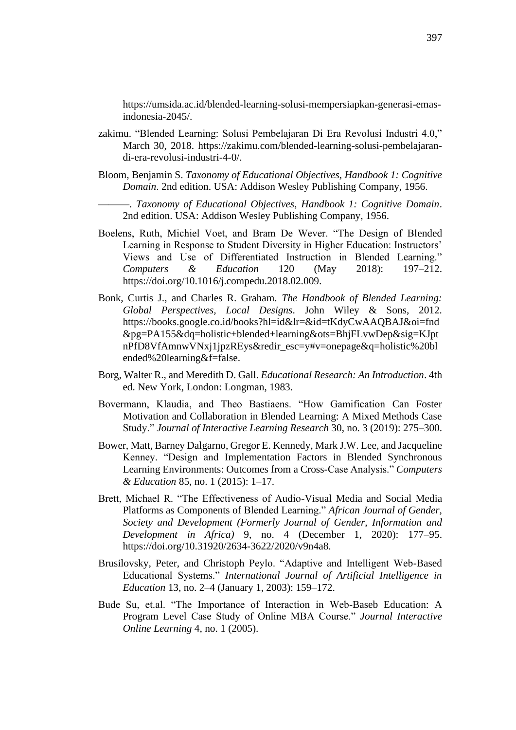https://umsida.ac.id/blended-learning-solusi-mempersiapkan-generasi-emasindonesia-2045/.

- zakimu. "Blended Learning: Solusi Pembelajaran Di Era Revolusi Industri 4.0," March 30, 2018. https://zakimu.com/blended-learning-solusi-pembelajarandi-era-revolusi-industri-4-0/.
- Bloom, Benjamin S. *Taxonomy of Educational Objectives, Handbook 1: Cognitive Domain*. 2nd edition. USA: Addison Wesley Publishing Company, 1956.

———. *Taxonomy of Educational Objectives, Handbook 1: Cognitive Domain*. 2nd edition. USA: Addison Wesley Publishing Company, 1956.

- Boelens, Ruth, Michiel Voet, and Bram De Wever. "The Design of Blended Learning in Response to Student Diversity in Higher Education: Instructors' Views and Use of Differentiated Instruction in Blended Learning." *Computers & Education* 120 (May 2018): 197–212. https://doi.org/10.1016/j.compedu.2018.02.009.
- Bonk, Curtis J., and Charles R. Graham. *The Handbook of Blended Learning: Global Perspectives, Local Designs*. John Wiley & Sons, 2012. https://books.google.co.id/books?hl=id&lr=&id=tKdyCwAAQBAJ&oi=fnd &pg=PA155&dq=holistic+blended+learning&ots=BhjFLvwDep&sig=KJpt nPfD8VfAmnwVNxj1jpzREys&redir\_esc=y#v=onepage&q=holistic%20bl ended%20learning&f=false.
- Borg, Walter R., and Meredith D. Gall. *Educational Research: An Introduction*. 4th ed. New York, London: Longman, 1983.
- Bovermann, Klaudia, and Theo Bastiaens. "How Gamification Can Foster Motivation and Collaboration in Blended Learning: A Mixed Methods Case Study." *Journal of Interactive Learning Research* 30, no. 3 (2019): 275–300.
- Bower, Matt, Barney Dalgarno, Gregor E. Kennedy, Mark J.W. Lee, and Jacqueline Kenney. "Design and Implementation Factors in Blended Synchronous Learning Environments: Outcomes from a Cross-Case Analysis." *Computers & Education* 85, no. 1 (2015): 1–17.
- Brett, Michael R. "The Effectiveness of Audio-Visual Media and Social Media Platforms as Components of Blended Learning." *African Journal of Gender, Society and Development (Formerly Journal of Gender, Information and Development in Africa)* 9, no. 4 (December 1, 2020): 177–95. https://doi.org/10.31920/2634-3622/2020/v9n4a8.
- Brusilovsky, Peter, and Christoph Peylo. "Adaptive and Intelligent Web-Based Educational Systems." *International Journal of Artificial Intelligence in Education* 13, no. 2–4 (January 1, 2003): 159–172.
- Bude Su, et.al. "The Importance of Interaction in Web-Baseb Education: A Program Level Case Study of Online MBA Course." *Journal Interactive Online Learning* 4, no. 1 (2005).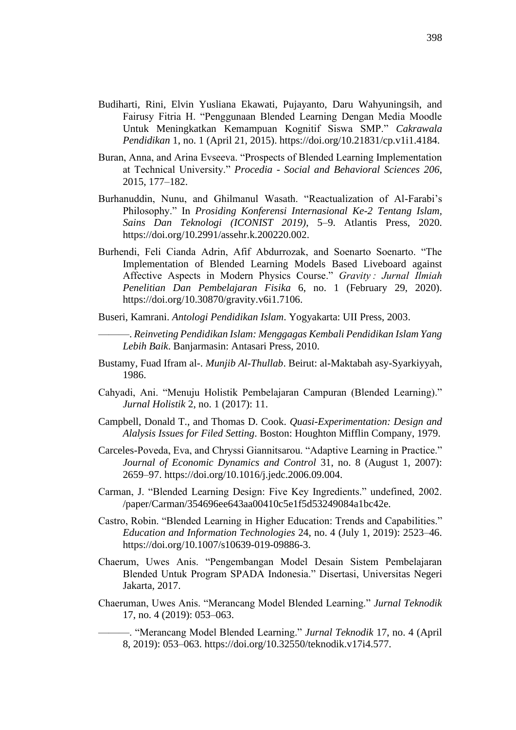- Budiharti, Rini, Elvin Yusliana Ekawati, Pujayanto, Daru Wahyuningsih, and Fairusy Fitria H. "Penggunaan Blended Learning Dengan Media Moodle Untuk Meningkatkan Kemampuan Kognitif Siswa SMP." *Cakrawala Pendidikan* 1, no. 1 (April 21, 2015). https://doi.org/10.21831/cp.v1i1.4184.
- Buran, Anna, and Arina Evseeva. "Prospects of Blended Learning Implementation at Technical University." *Procedia - Social and Behavioral Sciences 206*, 2015, 177–182.
- Burhanuddin, Nunu, and Ghilmanul Wasath. "Reactualization of Al-Farabi's Philosophy." In *Prosiding Konferensi Internasional Ke-2 Tentang Islam, Sains Dan Teknologi (ICONIST 2019)*, 5–9. Atlantis Press, 2020. https://doi.org/10.2991/assehr.k.200220.002.
- Burhendi, Feli Cianda Adrin, Afif Abdurrozak, and Soenarto Soenarto. "The Implementation of Blended Learning Models Based Liveboard against Affective Aspects in Modern Physics Course." *Gravity : Jurnal Ilmiah Penelitian Dan Pembelajaran Fisika* 6, no. 1 (February 29, 2020). https://doi.org/10.30870/gravity.v6i1.7106.
- Buseri, Kamrani. *Antologi Pendidikan Islam*. Yogyakarta: UII Press, 2003.
	- ———. *Reinveting Pendidikan Islam: Menggagas Kembali Pendidikan Islam Yang Lebih Baik*. Banjarmasin: Antasari Press, 2010.
- Bustamy, Fuad Ifram al-. *Munjib Al-Thullab*. Beirut: al-Maktabah asy-Syarkiyyah, 1986.
- Cahyadi, Ani. "Menuju Holistik Pembelajaran Campuran (Blended Learning)." *Jurnal Holistik* 2, no. 1 (2017): 11.
- Campbell, Donald T., and Thomas D. Cook. *Quasi-Experimentation: Design and Alalysis Issues for Filed Setting*. Boston: Houghton Mifflin Company, 1979.
- Carceles-Poveda, Eva, and Chryssi Giannitsarou. "Adaptive Learning in Practice." *Journal of Economic Dynamics and Control* 31, no. 8 (August 1, 2007): 2659–97. https://doi.org/10.1016/j.jedc.2006.09.004.
- Carman, J. "Blended Learning Design: Five Key Ingredients." undefined, 2002. /paper/Carman/354696ee643aa00410c5e1f5d53249084a1bc42e.
- Castro, Robin. "Blended Learning in Higher Education: Trends and Capabilities." *Education and Information Technologies* 24, no. 4 (July 1, 2019): 2523–46. https://doi.org/10.1007/s10639-019-09886-3.
- Chaerum, Uwes Anis. "Pengembangan Model Desain Sistem Pembelajaran Blended Untuk Program SPADA Indonesia." Disertasi, Universitas Negeri Jakarta, 2017.
- Chaeruman, Uwes Anis. "Merancang Model Blended Learning." *Jurnal Teknodik* 17, no. 4 (2019): 053–063.

———. "Merancang Model Blended Learning." *Jurnal Teknodik* 17, no. 4 (April 8, 2019): 053–063. https://doi.org/10.32550/teknodik.v17i4.577.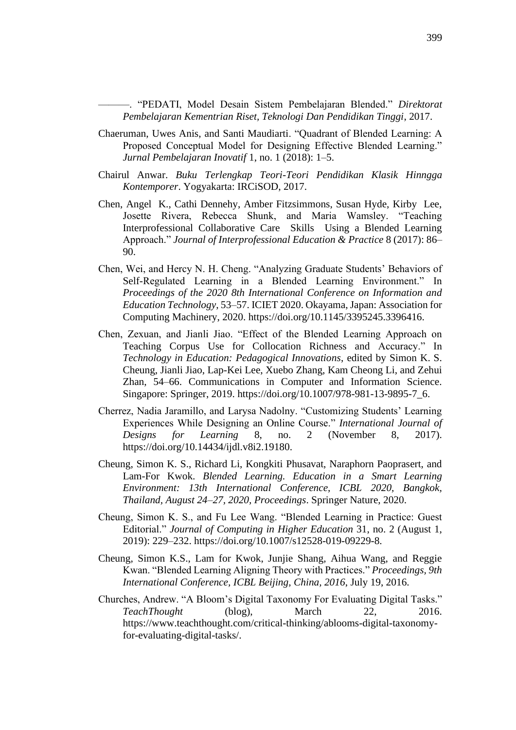———. "PEDATI, Model Desain Sistem Pembelajaran Blended." *Direktorat Pembelajaran Kementrian Riset, Teknologi Dan Pendidikan Tinggi*, 2017.

- Chaeruman, Uwes Anis, and Santi Maudiarti. "Quadrant of Blended Learning: A Proposed Conceptual Model for Designing Effective Blended Learning." *Jurnal Pembelajaran Inovatif* 1, no. 1 (2018): 1–5.
- Chairul Anwar. *Buku Terlengkap Teori-Teori Pendidikan Klasik Hinngga Kontemporer*. Yogyakarta: IRCiSOD, 2017.
- Chen, Angel K., Cathi Dennehy, Amber Fitzsimmons, Susan Hyde, Kirby Lee, Josette Rivera, Rebecca Shunk, and Maria Wamsley. "Teaching Interprofessional Collaborative Care Skills Using a Blended Learning Approach." *Journal of Interprofessional Education & Practice* 8 (2017): 86– 90.
- Chen, Wei, and Hercy N. H. Cheng. "Analyzing Graduate Students' Behaviors of Self-Regulated Learning in a Blended Learning Environment." In *Proceedings of the 2020 8th International Conference on Information and Education Technology*, 53–57. ICIET 2020. Okayama, Japan: Association for Computing Machinery, 2020. https://doi.org/10.1145/3395245.3396416.
- Chen, Zexuan, and Jianli Jiao. "Effect of the Blended Learning Approach on Teaching Corpus Use for Collocation Richness and Accuracy." In *Technology in Education: Pedagogical Innovations*, edited by Simon K. S. Cheung, Jianli Jiao, Lap-Kei Lee, Xuebo Zhang, Kam Cheong Li, and Zehui Zhan, 54–66. Communications in Computer and Information Science. Singapore: Springer, 2019. https://doi.org/10.1007/978-981-13-9895-7\_6.
- Cherrez, Nadia Jaramillo, and Larysa Nadolny. "Customizing Students' Learning Experiences While Designing an Online Course." *International Journal of Designs for Learning* 8, no. 2 (November 8, 2017). https://doi.org/10.14434/ijdl.v8i2.19180.
- Cheung, Simon K. S., Richard Li, Kongkiti Phusavat, Naraphorn Paoprasert, and Lam-For Kwok. *Blended Learning. Education in a Smart Learning Environment: 13th International Conference, ICBL 2020, Bangkok, Thailand, August 24–27, 2020, Proceedings*. Springer Nature, 2020.
- Cheung, Simon K. S., and Fu Lee Wang. "Blended Learning in Practice: Guest Editorial." *Journal of Computing in Higher Education* 31, no. 2 (August 1, 2019): 229–232. https://doi.org/10.1007/s12528-019-09229-8.
- Cheung, Simon K.S., Lam for Kwok, Junjie Shang, Aihua Wang, and Reggie Kwan. "Blended Learning Aligning Theory with Practices." *Proceedings, 9th International Conference, ICBL Beijing, China, 2016*, July 19, 2016.
- Churches, Andrew. "A Bloom's Digital Taxonomy For Evaluating Digital Tasks." *TeachThought* (blog), March 22, 2016. https://www.teachthought.com/critical-thinking/ablooms-digital-taxonomyfor-evaluating-digital-tasks/.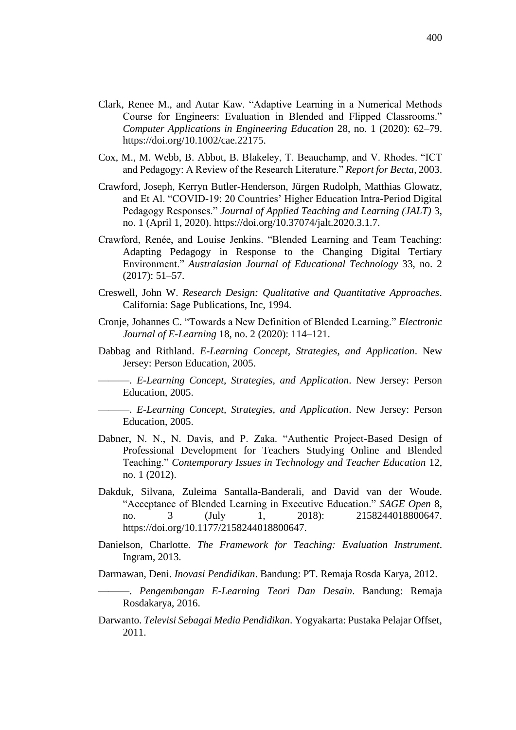- Clark, Renee M., and Autar Kaw. "Adaptive Learning in a Numerical Methods Course for Engineers: Evaluation in Blended and Flipped Classrooms." *Computer Applications in Engineering Education* 28, no. 1 (2020): 62–79. https://doi.org/10.1002/cae.22175.
- Cox, M., M. Webb, B. Abbot, B. Blakeley, T. Beauchamp, and V. Rhodes. "ICT and Pedagogy: A Review of the Research Literature." *Report for Becta*, 2003.
- Crawford, Joseph, Kerryn Butler-Henderson, Jürgen Rudolph, Matthias Glowatz, and Et Al. "COVID-19: 20 Countries' Higher Education Intra-Period Digital Pedagogy Responses." *Journal of Applied Teaching and Learning (JALT)* 3, no. 1 (April 1, 2020). https://doi.org/10.37074/jalt.2020.3.1.7.
- Crawford, Renée, and Louise Jenkins. "Blended Learning and Team Teaching: Adapting Pedagogy in Response to the Changing Digital Tertiary Environment." *Australasian Journal of Educational Technology* 33, no. 2 (2017): 51–57.
- Creswell, John W. *Research Design: Qualitative and Quantitative Approaches*. California: Sage Publications, Inc, 1994.
- Cronje, Johannes C. "Towards a New Definition of Blended Learning." *Electronic Journal of E-Learning* 18, no. 2 (2020): 114–121.
- Dabbag and Rithland. *E-Learning Concept, Strategies, and Application*. New Jersey: Person Education, 2005.

———. *E-Learning Concept, Strategies, and Application*. New Jersey: Person Education, 2005.

———. *E-Learning Concept, Strategies, and Application*. New Jersey: Person Education, 2005.

- Dabner, N. N., N. Davis, and P. Zaka. "Authentic Project-Based Design of Professional Development for Teachers Studying Online and Blended Teaching." *Contemporary Issues in Technology and Teacher Education* 12, no. 1 (2012).
- Dakduk, Silvana, Zuleima Santalla-Banderali, and David van der Woude. "Acceptance of Blended Learning in Executive Education." *SAGE Open* 8, no. 3 (July 1, 2018): 2158244018800647. https://doi.org/10.1177/2158244018800647.
- Danielson, Charlotte. *The Framework for Teaching: Evaluation Instrument*. Ingram, 2013.

Darmawan, Deni. *Inovasi Pendidikan*. Bandung: PT. Remaja Rosda Karya, 2012.

Darwanto. *Televisi Sebagai Media Pendidikan*. Yogyakarta: Pustaka Pelajar Offset, 2011.

<sup>———.</sup> *Pengembangan E-Learning Teori Dan Desain*. Bandung: Remaja Rosdakarya, 2016.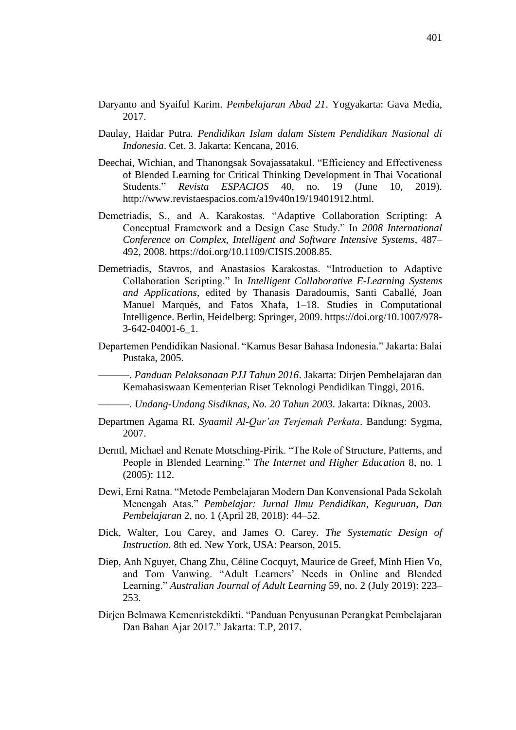- Daryanto and Syaiful Karim. *Pembelajaran Abad 21*. Yogyakarta: Gava Media, 2017.
- Daulay, Haidar Putra. *Pendidikan Islam dalam Sistem Pendidikan Nasional di Indonesia*. Cet. 3. Jakarta: Kencana, 2016.
- Deechai, Wichian, and Thanongsak Sovajassatakul. "Efficiency and Effectiveness of Blended Learning for Critical Thinking Development in Thai Vocational Students." *Revista ESPACIOS* 40, no. 19 (June 10, 2019). http://www.revistaespacios.com/a19v40n19/19401912.html.
- Demetriadis, S., and A. Karakostas. "Adaptive Collaboration Scripting: A Conceptual Framework and a Design Case Study." In *2008 International Conference on Complex, Intelligent and Software Intensive Systems*, 487– 492, 2008. https://doi.org/10.1109/CISIS.2008.85.
- Demetriadis, Stavros, and Anastasios Karakostas. "Introduction to Adaptive Collaboration Scripting." In *Intelligent Collaborative E-Learning Systems and Applications*, edited by Thanasis Daradoumis, Santi Caballé, Joan Manuel Marquès, and Fatos Xhafa, 1–18. Studies in Computational Intelligence. Berlin, Heidelberg: Springer, 2009. https://doi.org/10.1007/978- 3-642-04001-6\_1.
- Departemen Pendidikan Nasional. "Kamus Besar Bahasa Indonesia." Jakarta: Balai Pustaka, 2005.

———. *Panduan Pelaksanaan PJJ Tahun 2016*. Jakarta: Dirjen Pembelajaran dan Kemahasiswaan Kementerian Riset Teknologi Pendidikan Tinggi, 2016.

- ———. *Undang-Undang Sisdiknas, No. 20 Tahun 2003*. Jakarta: Diknas, 2003.
- Departmen Agama RI. *Syaamil Al-Qur'an Terjemah Perkata*. Bandung: Sygma, 2007.
- Derntl, Michael and Renate Motsching-Pirik. "The Role of Structure, Patterns, and People in Blended Learning." *The Internet and Higher Education* 8, no. 1 (2005): 112.
- Dewi, Erni Ratna. "Metode Pembelajaran Modern Dan Konvensional Pada Sekolah Menengah Atas." *Pembelajar: Jurnal Ilmu Pendidikan, Keguruan, Dan Pembelajaran* 2, no. 1 (April 28, 2018): 44–52.
- Dick, Walter, Lou Carey, and James O. Carey. *The Systematic Design of Instruction*. 8th ed. New York, USA: Pearson, 2015.
- Diep, Anh Nguyet, Chang Zhu, Céline Cocquyt, Maurice de Greef, Minh Hien Vo, and Tom Vanwing. "Adult Learners' Needs in Online and Blended Learning." *Australian Journal of Adult Learning* 59, no. 2 (July 2019): 223– 253.
- Dirjen Belmawa Kemenristekdikti. "Panduan Penyusunan Perangkat Pembelajaran Dan Bahan Ajar 2017." Jakarta: T.P, 2017.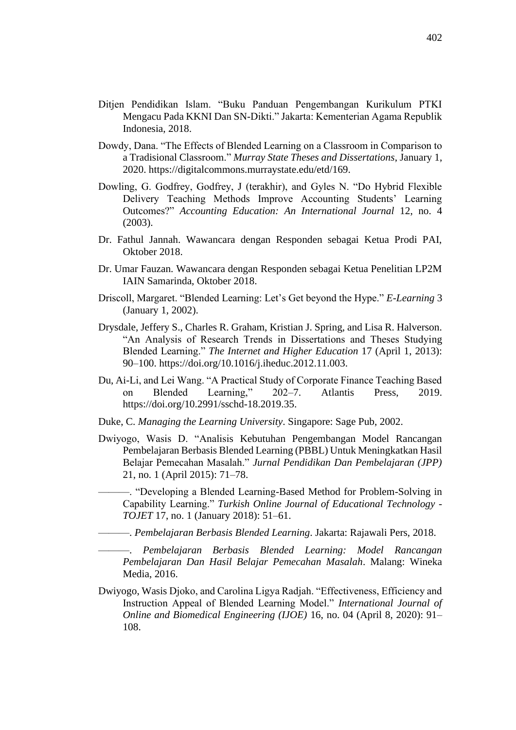- Ditjen Pendidikan Islam. "Buku Panduan Pengembangan Kurikulum PTKI Mengacu Pada KKNI Dan SN-Dikti." Jakarta: Kementerian Agama Republik Indonesia, 2018.
- Dowdy, Dana. "The Effects of Blended Learning on a Classroom in Comparison to a Tradisional Classroom." *Murray State Theses and Dissertations*, January 1, 2020. https://digitalcommons.murraystate.edu/etd/169.
- Dowling, G. Godfrey, Godfrey, J (terakhir), and Gyles N. "Do Hybrid Flexible Delivery Teaching Methods Improve Accounting Students' Learning Outcomes?" *Accounting Education: An International Journal* 12, no. 4 (2003).
- Dr. Fathul Jannah. Wawancara dengan Responden sebagai Ketua Prodi PAI, Oktober 2018.
- Dr. Umar Fauzan. Wawancara dengan Responden sebagai Ketua Penelitian LP2M IAIN Samarinda, Oktober 2018.
- Driscoll, Margaret. "Blended Learning: Let's Get beyond the Hype." *E-Learning* 3 (January 1, 2002).
- Drysdale, Jeffery S., Charles R. Graham, Kristian J. Spring, and Lisa R. Halverson. "An Analysis of Research Trends in Dissertations and Theses Studying Blended Learning." *The Internet and Higher Education* 17 (April 1, 2013): 90–100. https://doi.org/10.1016/j.iheduc.2012.11.003.
- Du, Ai-Li, and Lei Wang. "A Practical Study of Corporate Finance Teaching Based on Blended Learning," 202–7. Atlantis Press, 2019. https://doi.org/10.2991/sschd-18.2019.35.
- Duke, C. *Managing the Learning University*. Singapore: Sage Pub, 2002.
- Dwiyogo, Wasis D. "Analisis Kebutuhan Pengembangan Model Rancangan Pembelajaran Berbasis Blended Learning (PBBL) Untuk Meningkatkan Hasil Belajar Pemecahan Masalah." *Jurnal Pendidikan Dan Pembelajaran (JPP)* 21, no. 1 (April 2015): 71–78.
	- ———. "Developing a Blended Learning-Based Method for Problem-Solving in Capability Learning." *Turkish Online Journal of Educational Technology - TOJET* 17, no. 1 (January 2018): 51–61.

———. *Pembelajaran Berbasis Blended Learning*. Jakarta: Rajawali Pers, 2018.

- ———. *Pembelajaran Berbasis Blended Learning: Model Rancangan Pembelajaran Dan Hasil Belajar Pemecahan Masalah*. Malang: Wineka Media, 2016.
- Dwiyogo, Wasis Djoko, and Carolina Ligya Radjah. "Effectiveness, Efficiency and Instruction Appeal of Blended Learning Model." *International Journal of Online and Biomedical Engineering (IJOE)* 16, no. 04 (April 8, 2020): 91– 108.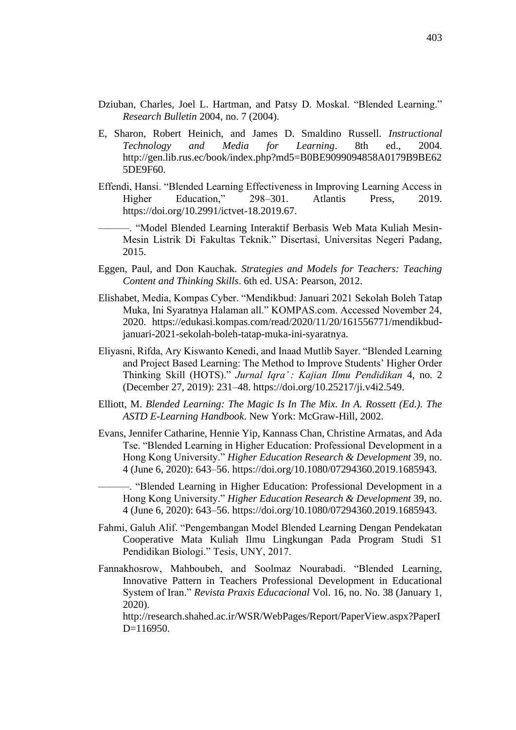- Dziuban, Charles, Joel L. Hartman, and Patsy D. Moskal. "Blended Learning." *Research Bulletin* 2004, no. 7 (2004).
- E, Sharon, Robert Heinich, and James D. Smaldino Russell. *Instructional Technology and Media for Learning*. 8th ed., 2004. http://gen.lib.rus.ec/book/index.php?md5=B0BE9099094858A0179B9BE62 5DE9F60.
- Effendi, Hansi. "Blended Learning Effectiveness in Improving Learning Access in Higher Education," 298–301. Atlantis Press, 2019. https://doi.org/10.2991/ictvet-18.2019.67.
	- ———. "Model Blended Learning Interaktif Berbasis Web Mata Kuliah Mesin-Mesin Listrik Di Fakultas Teknik." Disertasi, Universitas Negeri Padang, 2015.
- Eggen, Paul, and Don Kauchak. *Strategies and Models for Teachers: Teaching Content and Thinking Skills*. 6th ed. USA: Pearson, 2012.
- Elishabet, Media, Kompas Cyber. "Mendikbud: Januari 2021 Sekolah Boleh Tatap Muka, Ini Syaratnya Halaman all." KOMPAS.com. Accessed November 24, 2020. https://edukasi.kompas.com/read/2020/11/20/161556771/mendikbudjanuari-2021-sekolah-boleh-tatap-muka-ini-syaratnya.
- Eliyasni, Rifda, Ary Kiswanto Kenedi, and Inaad Mutlib Sayer. "Blended Learning and Project Based Learning: The Method to Improve Students' Higher Order Thinking Skill (HOTS)." *Jurnal Iqra' : Kajian Ilmu Pendidikan* 4, no. 2 (December 27, 2019): 231–48. https://doi.org/10.25217/ji.v4i2.549.
- Elliott, M. *Blended Learning: The Magic Is In The Mix. In A. Rossett (Ed.). The ASTD E-Learning Handbook*. New York: McGraw-Hill, 2002.
- Evans, Jennifer Catharine, Hennie Yip, Kannass Chan, Christine Armatas, and Ada Tse. "Blended Learning in Higher Education: Professional Development in a Hong Kong University." *Higher Education Research & Development* 39, no. 4 (June 6, 2020): 643–56. https://doi.org/10.1080/07294360.2019.1685943.

———. "Blended Learning in Higher Education: Professional Development in a Hong Kong University." *Higher Education Research & Development* 39, no. 4 (June 6, 2020): 643–56. https://doi.org/10.1080/07294360.2019.1685943.

- Fahmi, Galuh Alif. "Pengembangan Model Blended Learning Dengan Pendekatan Cooperative Mata Kuliah Ilmu Lingkungan Pada Program Studi S1 Pendidikan Biologi." Tesis, UNY, 2017.
- Fannakhosrow, Mahboubeh, and Soolmaz Nourabadi. "Blended Learning, Innovative Pattern in Teachers Professional Development in Educational System of Iran." *Revista Praxis Educacional* Vol. 16, no. No. 38 (January 1, 2020).

http://research.shahed.ac.ir/WSR/WebPages/Report/PaperView.aspx?PaperI D=116950.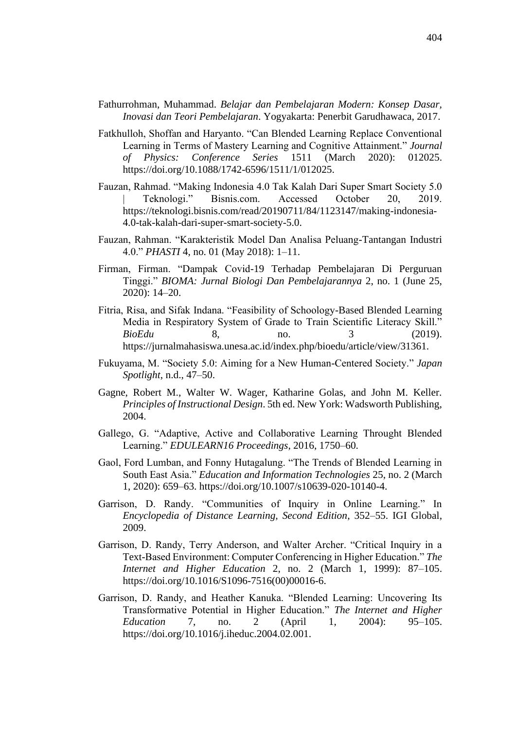- Fathurrohman, Muhammad. *Belajar dan Pembelajaran Modern: Konsep Dasar, Inovasi dan Teori Pembelajaran*. Yogyakarta: Penerbit Garudhawaca, 2017.
- Fatkhulloh, Shoffan and Haryanto. "Can Blended Learning Replace Conventional Learning in Terms of Mastery Learning and Cognitive Attainment." *Journal of Physics: Conference Series* 1511 (March 2020): 012025. https://doi.org/10.1088/1742-6596/1511/1/012025.
- Fauzan, Rahmad. "Making Indonesia 4.0 Tak Kalah Dari Super Smart Society 5.0 | Teknologi." Bisnis.com. Accessed October 20, 2019. https://teknologi.bisnis.com/read/20190711/84/1123147/making-indonesia-4.0-tak-kalah-dari-super-smart-society-5.0.
- Fauzan, Rahman. "Karakteristik Model Dan Analisa Peluang-Tantangan Industri 4.0." *PHASTI* 4, no. 01 (May 2018): 1–11.
- Firman, Firman. "Dampak Covid-19 Terhadap Pembelajaran Di Perguruan Tinggi." *BIOMA: Jurnal Biologi Dan Pembelajarannya* 2, no. 1 (June 25, 2020): 14–20.
- Fitria, Risa, and Sifak Indana. "Feasibility of Schoology-Based Blended Learning Media in Respiratory System of Grade to Train Scientific Literacy Skill." *BioEdu* 8, no. 3 (2019). https://jurnalmahasiswa.unesa.ac.id/index.php/bioedu/article/view/31361.
- Fukuyama, M. "Society 5.0: Aiming for a New Human-Centered Society." *Japan Spotlight*, n.d., 47–50.
- Gagne, Robert M., Walter W. Wager, Katharine Golas, and John M. Keller. *Principles of Instructional Design*. 5th ed. New York: Wadsworth Publishing, 2004.
- Gallego, G. "Adaptive, Active and Collaborative Learning Throught Blended Learning." *EDULEARN16 Proceedings*, 2016, 1750–60.
- Gaol, Ford Lumban, and Fonny Hutagalung. "The Trends of Blended Learning in South East Asia." *Education and Information Technologies* 25, no. 2 (March 1, 2020): 659–63. https://doi.org/10.1007/s10639-020-10140-4.
- Garrison, D. Randy. "Communities of Inquiry in Online Learning." In *Encyclopedia of Distance Learning, Second Edition*, 352–55. IGI Global, 2009.
- Garrison, D. Randy, Terry Anderson, and Walter Archer. "Critical Inquiry in a Text-Based Environment: Computer Conferencing in Higher Education." *The Internet and Higher Education* 2, no. 2 (March 1, 1999): 87–105. https://doi.org/10.1016/S1096-7516(00)00016-6.
- Garrison, D. Randy, and Heather Kanuka. "Blended Learning: Uncovering Its Transformative Potential in Higher Education." *The Internet and Higher Education* 7, no. 2 (April 1, 2004): 95–105. https://doi.org/10.1016/j.iheduc.2004.02.001.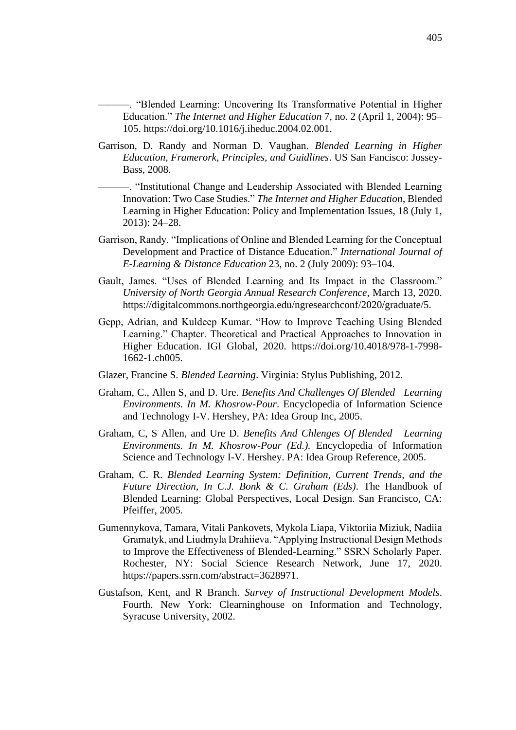———. "Blended Learning: Uncovering Its Transformative Potential in Higher Education." *The Internet and Higher Education* 7, no. 2 (April 1, 2004): 95– 105. https://doi.org/10.1016/j.iheduc.2004.02.001.

Garrison, D. Randy and Norman D. Vaughan. *Blended Learning in Higher Education, Framerork, Principles, and Guidlines*. US San Fancisco: Jossey-Bass, 2008.

———. "Institutional Change and Leadership Associated with Blended Learning Innovation: Two Case Studies." *The Internet and Higher Education*, Blended Learning in Higher Education: Policy and Implementation Issues, 18 (July 1, 2013): 24–28.

- Garrison, Randy. "Implications of Online and Blended Learning for the Conceptual Development and Practice of Distance Education." *International Journal of E-Learning & Distance Education* 23, no. 2 (July 2009): 93–104.
- Gault, James. "Uses of Blended Learning and Its Impact in the Classroom." *University of North Georgia Annual Research Conference*, March 13, 2020. https://digitalcommons.northgeorgia.edu/ngresearchconf/2020/graduate/5.
- Gepp, Adrian, and Kuldeep Kumar. "How to Improve Teaching Using Blended Learning." Chapter. Theoretical and Practical Approaches to Innovation in Higher Education. IGI Global, 2020. https://doi.org/10.4018/978-1-7998- 1662-1.ch005.
- Glazer, Francine S. *Blended Learning*. Virginia: Stylus Publishing, 2012.
- Graham, C., Allen S, and D. Ure. *Benefits And Challenges Of Blended Learning Environments. In M. Khosrow-Pour*. Encyclopedia of Information Science and Technology I-V. Hershey, PA: Idea Group Inc, 2005.
- Graham, C, S Allen, and Ure D. *Benefits And Chlenges Of Blended Learning Environments. In M. Khosrow-Pour (Ed.).* Encyclopedia of Information Science and Technology I-V. Hershey. PA: Idea Group Reference, 2005.
- Graham, C. R. *Blended Learning System: Definition, Current Trends, and the Future Direction, In C.J. Bonk & C. Graham (Eds)*. The Handbook of Blended Learning: Global Perspectives, Local Design. San Francisco, CA: Pfeiffer, 2005.
- Gumennykova, Tamara, Vitali Pankovets, Mykola Liapa, Viktoriia Miziuk, Nadiia Gramatyk, and Liudmyla Drahiieva. "Applying Instructional Design Methods to Improve the Effectiveness of Blended-Learning." SSRN Scholarly Paper. Rochester, NY: Social Science Research Network, June 17, 2020. https://papers.ssrn.com/abstract=3628971.
- Gustafson, Kent, and R Branch. *Survey of Instructional Development Models*. Fourth. New York: Clearninghouse on Information and Technology, Syracuse University, 2002.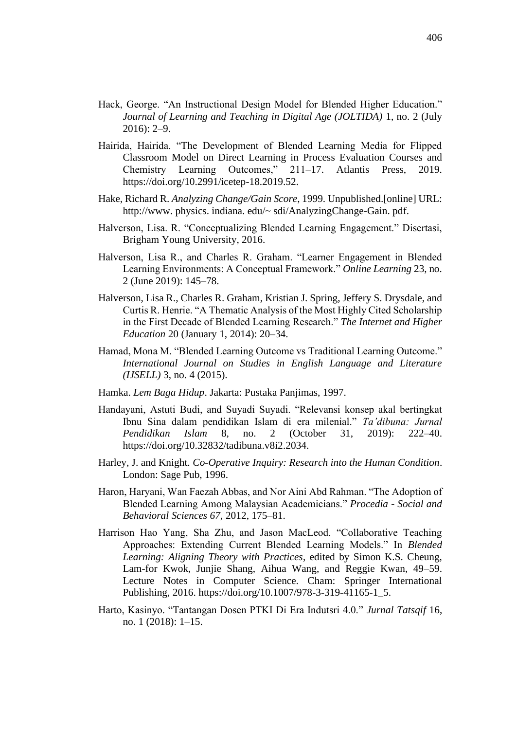- Hack, George. "An Instructional Design Model for Blended Higher Education." *Journal of Learning and Teaching in Digital Age (JOLTIDA)* 1, no. 2 (July 2016): 2–9.
- Hairida, Hairida. "The Development of Blended Learning Media for Flipped Classroom Model on Direct Learning in Process Evaluation Courses and Chemistry Learning Outcomes," 211–17. Atlantis Press, 2019. https://doi.org/10.2991/icetep-18.2019.52.
- Hake, Richard R. *Analyzing Change/Gain Score*, 1999. Unpublished.[online] URL: http://www.physics. indiana. edu/~ sdi/AnalyzingChange-Gain. pdf.
- Halverson, Lisa. R. "Conceptualizing Blended Learning Engagement." Disertasi, Brigham Young University, 2016.
- Halverson, Lisa R., and Charles R. Graham. "Learner Engagement in Blended Learning Environments: A Conceptual Framework." *Online Learning* 23, no. 2 (June 2019): 145–78.
- Halverson, Lisa R., Charles R. Graham, Kristian J. Spring, Jeffery S. Drysdale, and Curtis R. Henrie. "A Thematic Analysis of the Most Highly Cited Scholarship in the First Decade of Blended Learning Research." *The Internet and Higher Education* 20 (January 1, 2014): 20–34.
- Hamad, Mona M. "Blended Learning Outcome vs Traditional Learning Outcome." *International Journal on Studies in English Language and Literature (IJSELL)* 3, no. 4 (2015).
- Hamka. *Lem Baga Hidup*. Jakarta: Pustaka Panjimas, 1997.
- Handayani, Astuti Budi, and Suyadi Suyadi. "Relevansi konsep akal bertingkat Ibnu Sina dalam pendidikan Islam di era milenial." *Ta'dibuna: Jurnal Pendidikan Islam* 8, no. 2 (October 31, 2019): 222–40. https://doi.org/10.32832/tadibuna.v8i2.2034.
- Harley, J. and Knight. *Co-Operative Inquiry: Research into the Human Condition*. London: Sage Pub, 1996.
- Haron, Haryani, Wan Faezah Abbas, and Nor Aini Abd Rahman. "The Adoption of Blended Learning Among Malaysian Academicians." *Procedia - Social and Behavioral Sciences 67*, 2012, 175–81.
- Harrison Hao Yang, Sha Zhu, and Jason MacLeod. "Collaborative Teaching Approaches: Extending Current Blended Learning Models." In *Blended Learning: Aligning Theory with Practices*, edited by Simon K.S. Cheung, Lam-for Kwok, Junjie Shang, Aihua Wang, and Reggie Kwan, 49–59. Lecture Notes in Computer Science. Cham: Springer International Publishing, 2016. https://doi.org/10.1007/978-3-319-41165-1\_5.
- Harto, Kasinyo. "Tantangan Dosen PTKI Di Era Indutsri 4.0." *Jurnal Tatsqif* 16, no. 1 (2018): 1–15.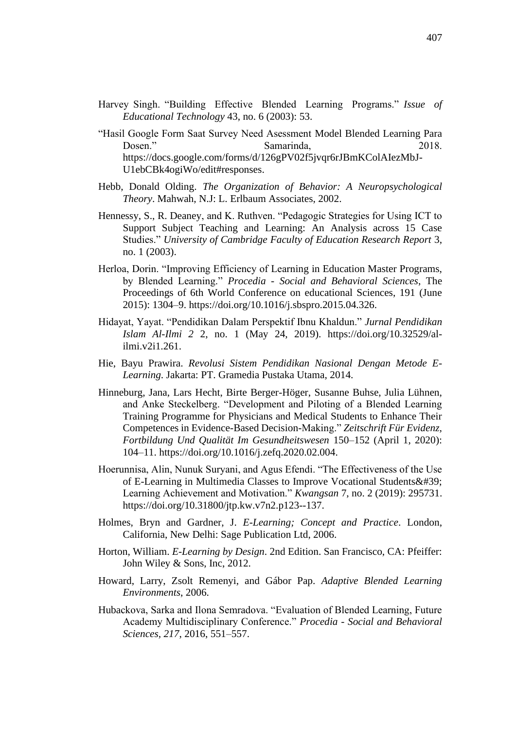- Harvey Singh. "Building Effective Blended Learning Programs." *Issue of Educational Technology* 43, no. 6 (2003): 53.
- "Hasil Google Form Saat Survey Need Asessment Model Blended Learning Para Dosen." Samarinda, 2018. https://docs.google.com/forms/d/126gPV02f5jvqr6rJBmKColAIezMbJ-U1ebCBk4ogiWo/edit#responses.
- Hebb, Donald Olding. *The Organization of Behavior: A Neuropsychological Theory*. Mahwah, N.J: L. Erlbaum Associates, 2002.
- Hennessy, S., R. Deaney, and K. Ruthven. "Pedagogic Strategies for Using ICT to Support Subject Teaching and Learning: An Analysis across 15 Case Studies." *University of Cambridge Faculty of Education Research Report* 3, no. 1 (2003).
- Herloa, Dorin. "Improving Efficiency of Learning in Education Master Programs, by Blended Learning." *Procedia - Social and Behavioral Sciences*, The Proceedings of 6th World Conference on educational Sciences, 191 (June 2015): 1304–9. https://doi.org/10.1016/j.sbspro.2015.04.326.
- Hidayat, Yayat. "Pendidikan Dalam Perspektif Ibnu Khaldun." *Jurnal Pendidikan Islam Al-Ilmi 2* 2, no. 1 (May 24, 2019). https://doi.org/10.32529/alilmi.v2i1.261.
- Hie, Bayu Prawira. *Revolusi Sistem Pendidikan Nasional Dengan Metode E-Learning*. Jakarta: PT. Gramedia Pustaka Utama, 2014.
- Hinneburg, Jana, Lars Hecht, Birte Berger-Höger, Susanne Buhse, Julia Lühnen, and Anke Steckelberg. "Development and Piloting of a Blended Learning Training Programme for Physicians and Medical Students to Enhance Their Competences in Evidence-Based Decision-Making." *Zeitschrift Für Evidenz, Fortbildung Und Qualität Im Gesundheitswesen* 150–152 (April 1, 2020): 104–11. https://doi.org/10.1016/j.zefq.2020.02.004.
- Hoerunnisa, Alin, Nunuk Suryani, and Agus Efendi. "The Effectiveness of the Use of E-Learning in Multimedia Classes to Improve Vocational Students & #39; Learning Achievement and Motivation." *Kwangsan* 7, no. 2 (2019): 295731. https://doi.org/10.31800/jtp.kw.v7n2.p123--137.
- Holmes, Bryn and Gardner, J. *E-Learning; Concept and Practice*. London, California, New Delhi: Sage Publication Ltd, 2006.
- Horton, William. *E-Learning by Design*. 2nd Edition. San Francisco, CA: Pfeiffer: John Wiley & Sons, Inc, 2012.
- Howard, Larry, Zsolt Remenyi, and Gábor Pap. *Adaptive Blended Learning Environments*, 2006.
- Hubackova, Sarka and Ilona Semradova. "Evaluation of Blended Learning, Future Academy Multidisciplinary Conference." *Procedia - Social and Behavioral Sciences, 217*, 2016, 551–557.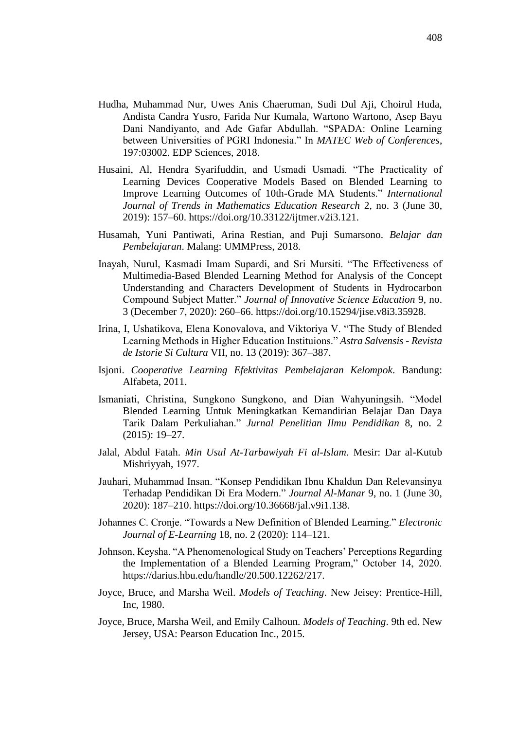- Hudha, Muhammad Nur, Uwes Anis Chaeruman, Sudi Dul Aji, Choirul Huda, Andista Candra Yusro, Farida Nur Kumala, Wartono Wartono, Asep Bayu Dani Nandiyanto, and Ade Gafar Abdullah. "SPADA: Online Learning between Universities of PGRI Indonesia." In *MATEC Web of Conferences*, 197:03002. EDP Sciences, 2018.
- Husaini, Al, Hendra Syarifuddin, and Usmadi Usmadi. "The Practicality of Learning Devices Cooperative Models Based on Blended Learning to Improve Learning Outcomes of 10th-Grade MA Students." *International Journal of Trends in Mathematics Education Research* 2, no. 3 (June 30, 2019): 157–60. https://doi.org/10.33122/ijtmer.v2i3.121.
- Husamah, Yuni Pantiwati, Arina Restian, and Puji Sumarsono. *Belajar dan Pembelajaran*. Malang: UMMPress, 2018.
- Inayah, Nurul, Kasmadi Imam Supardi, and Sri Mursiti. "The Effectiveness of Multimedia-Based Blended Learning Method for Analysis of the Concept Understanding and Characters Development of Students in Hydrocarbon Compound Subject Matter." *Journal of Innovative Science Education* 9, no. 3 (December 7, 2020): 260–66. https://doi.org/10.15294/jise.v8i3.35928.
- Irina, I, Ushatikova, Elena Konovalova, and Viktoriya V. "The Study of Blended Learning Methods in Higher Education Instituions." *Astra Salvensis - Revista de Istorie Si Cultura* VII, no. 13 (2019): 367–387.
- Isjoni. *Cooperative Learning Efektivitas Pembelajaran Kelompok*. Bandung: Alfabeta, 2011.
- Ismaniati, Christina, Sungkono Sungkono, and Dian Wahyuningsih. "Model Blended Learning Untuk Meningkatkan Kemandirian Belajar Dan Daya Tarik Dalam Perkuliahan." *Jurnal Penelitian Ilmu Pendidikan* 8, no. 2 (2015): 19–27.
- Jalal, Abdul Fatah. *Min Usul At-Tarbawiyah Fi al-Islam*. Mesir: Dar al-Kutub Mishriyyah, 1977.
- Jauhari, Muhammad Insan. "Konsep Pendidikan Ibnu Khaldun Dan Relevansinya Terhadap Pendidikan Di Era Modern." *Journal Al-Manar* 9, no. 1 (June 30, 2020): 187–210. https://doi.org/10.36668/jal.v9i1.138.
- Johannes C. Cronje. "Towards a New Definition of Blended Learning." *Electronic Journal of E-Learning* 18, no. 2 (2020): 114–121.
- Johnson, Keysha. "A Phenomenological Study on Teachers' Perceptions Regarding the Implementation of a Blended Learning Program," October 14, 2020. https://darius.hbu.edu/handle/20.500.12262/217.
- Joyce, Bruce, and Marsha Weil. *Models of Teaching*. New Jeisey: Prentice-Hill, Inc, 1980.
- Joyce, Bruce, Marsha Weil, and Emily Calhoun. *Models of Teaching*. 9th ed. New Jersey, USA: Pearson Education Inc., 2015.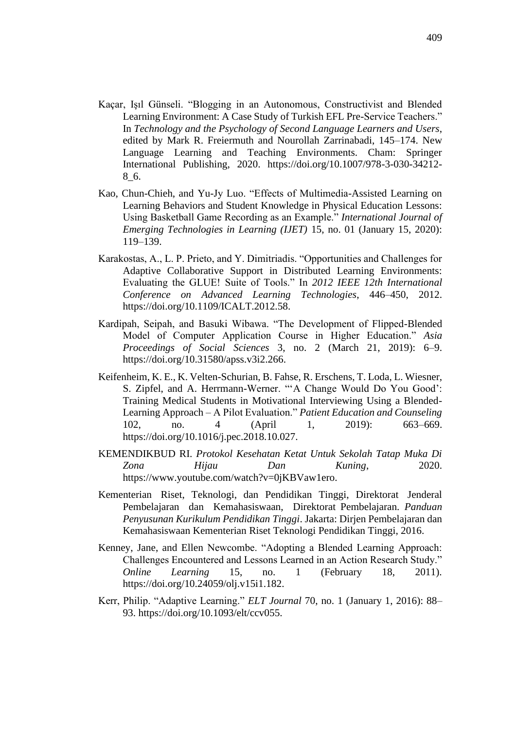- Kaçar, Işıl Günseli. "Blogging in an Autonomous, Constructivist and Blended Learning Environment: A Case Study of Turkish EFL Pre-Service Teachers." In *Technology and the Psychology of Second Language Learners and Users*, edited by Mark R. Freiermuth and Nourollah Zarrinabadi, 145–174. New Language Learning and Teaching Environments. Cham: Springer International Publishing, 2020. https://doi.org/10.1007/978-3-030-34212- 8\_6.
- Kao, Chun-Chieh, and Yu-Jy Luo. "Effects of Multimedia-Assisted Learning on Learning Behaviors and Student Knowledge in Physical Education Lessons: Using Basketball Game Recording as an Example." *International Journal of Emerging Technologies in Learning (IJET)* 15, no. 01 (January 15, 2020): 119–139.
- Karakostas, A., L. P. Prieto, and Y. Dimitriadis. "Opportunities and Challenges for Adaptive Collaborative Support in Distributed Learning Environments: Evaluating the GLUE! Suite of Tools." In *2012 IEEE 12th International Conference on Advanced Learning Technologies*, 446–450, 2012. https://doi.org/10.1109/ICALT.2012.58.
- Kardipah, Seipah, and Basuki Wibawa. "The Development of Flipped-Blended Model of Computer Application Course in Higher Education." *Asia Proceedings of Social Sciences* 3, no. 2 (March 21, 2019): 6–9. https://doi.org/10.31580/apss.v3i2.266.
- Keifenheim, K. E., K. Velten-Schurian, B. Fahse, R. Erschens, T. Loda, L. Wiesner, S. Zipfel, and A. Herrmann-Werner. "'A Change Would Do You Good': Training Medical Students in Motivational Interviewing Using a Blended-Learning Approach – A Pilot Evaluation." *Patient Education and Counseling* 102, no. 4 (April 1, 2019): 663–669. https://doi.org/10.1016/j.pec.2018.10.027.
- KEMENDIKBUD RI. *Protokol Kesehatan Ketat Untuk Sekolah Tatap Muka Di Zona Hijau Dan Kuning*, 2020. https://www.youtube.com/watch?v=0jKBVaw1ero.
- Kementerian Riset, Teknologi, dan Pendidikan Tinggi, Direktorat Jenderal Pembelajaran dan Kemahasiswaan, Direktorat Pembelajaran. *Panduan Penyusunan Kurikulum Pendidikan Tinggi*. Jakarta: Dirjen Pembelajaran dan Kemahasiswaan Kementerian Riset Teknologi Pendidikan Tinggi, 2016.
- Kenney, Jane, and Ellen Newcombe. "Adopting a Blended Learning Approach: Challenges Encountered and Lessons Learned in an Action Research Study." *Online Learning* 15, no. 1 (February 18, 2011). https://doi.org/10.24059/olj.v15i1.182.
- Kerr, Philip. "Adaptive Learning." *ELT Journal* 70, no. 1 (January 1, 2016): 88– 93. https://doi.org/10.1093/elt/ccv055.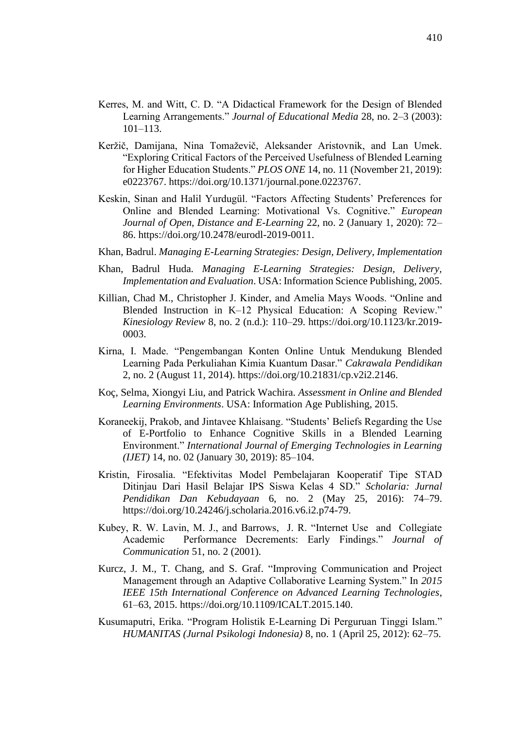- Kerres, M. and Witt, C. D. "A Didactical Framework for the Design of Blended Learning Arrangements." *Journal of Educational Media* 28, no. 2–3 (2003): 101–113.
- Keržič, Damijana, Nina Tomaževič, Aleksander Aristovnik, and Lan Umek. "Exploring Critical Factors of the Perceived Usefulness of Blended Learning for Higher Education Students." *PLOS ONE* 14, no. 11 (November 21, 2019): e0223767. https://doi.org/10.1371/journal.pone.0223767.
- Keskin, Sinan and Halil Yurdugül. "Factors Affecting Students' Preferences for Online and Blended Learning: Motivational Vs. Cognitive." *European Journal of Open, Distance and E-Learning* 22, no. 2 (January 1, 2020): 72– 86. https://doi.org/10.2478/eurodl-2019-0011.
- Khan, Badrul. *Managing E-Learning Strategies: Design, Delivery, Implementation*
- Khan, Badrul Huda. *Managing E-Learning Strategies: Design, Delivery, Implementation and Evaluation*. USA: Information Science Publishing, 2005.
- Killian, Chad M., Christopher J. Kinder, and Amelia Mays Woods. "Online and Blended Instruction in K–12 Physical Education: A Scoping Review." *Kinesiology Review* 8, no. 2 (n.d.): 110–29. https://doi.org/10.1123/kr.2019- 0003.
- Kirna, I. Made. "Pengembangan Konten Online Untuk Mendukung Blended Learning Pada Perkuliahan Kimia Kuantum Dasar." *Cakrawala Pendidikan* 2, no. 2 (August 11, 2014). https://doi.org/10.21831/cp.v2i2.2146.
- Koç, Selma, Xiongyi Liu, and Patrick Wachira. *Assessment in Online and Blended Learning Environments*. USA: Information Age Publishing, 2015.
- Koraneekij, Prakob, and Jintavee Khlaisang. "Students' Beliefs Regarding the Use of E-Portfolio to Enhance Cognitive Skills in a Blended Learning Environment." *International Journal of Emerging Technologies in Learning (IJET)* 14, no. 02 (January 30, 2019): 85–104.
- Kristin, Firosalia. "Efektivitas Model Pembelajaran Kooperatif Tipe STAD Ditinjau Dari Hasil Belajar IPS Siswa Kelas 4 SD." *Scholaria: Jurnal Pendidikan Dan Kebudayaan* 6, no. 2 (May 25, 2016): 74–79. https://doi.org/10.24246/j.scholaria.2016.v6.i2.p74-79.
- Kubey, R. W. Lavin, M. J., and Barrows, J. R. "Internet Use and Collegiate Academic Performance Decrements: Early Findings." *Journal of Communication* 51, no. 2 (2001).
- Kurcz, J. M., T. Chang, and S. Graf. "Improving Communication and Project Management through an Adaptive Collaborative Learning System." In *2015 IEEE 15th International Conference on Advanced Learning Technologies*, 61–63, 2015. https://doi.org/10.1109/ICALT.2015.140.
- Kusumaputri, Erika. "Program Holistik E-Learning Di Perguruan Tinggi Islam." *HUMANITAS (Jurnal Psikologi Indonesia)* 8, no. 1 (April 25, 2012): 62–75.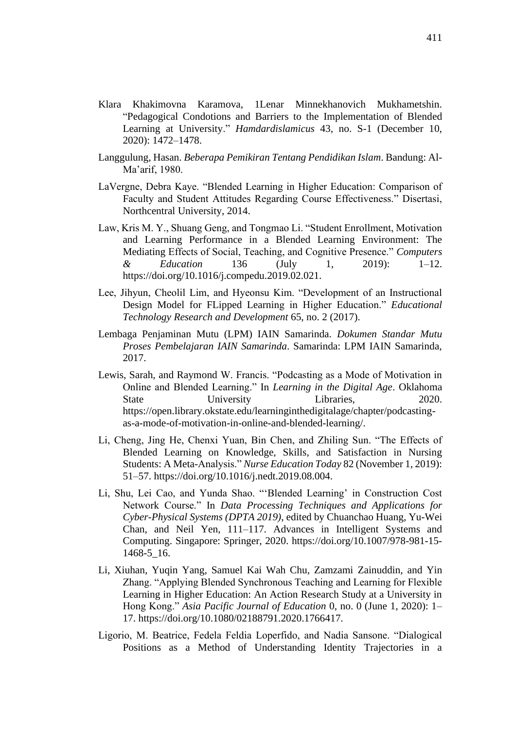- Klara Khakimovna Karamova, 1Lenar Minnekhanovich Mukhametshin. "Pedagogical Condotions and Barriers to the Implementation of Blended Learning at University." *Hamdardislamicus* 43, no. S-1 (December 10, 2020): 1472–1478.
- Langgulung, Hasan. *Beberapa Pemikiran Tentang Pendidikan Islam*. Bandung: Al-Ma'arif, 1980.
- LaVergne, Debra Kaye. "Blended Learning in Higher Education: Comparison of Faculty and Student Attitudes Regarding Course Effectiveness." Disertasi, Northcentral University, 2014.
- Law, Kris M. Y., Shuang Geng, and Tongmao Li. "Student Enrollment, Motivation and Learning Performance in a Blended Learning Environment: The Mediating Effects of Social, Teaching, and Cognitive Presence." *Computers & Education* 136 (July 1, 2019): 1–12. https://doi.org/10.1016/j.compedu.2019.02.021.
- Lee, Jihyun, Cheolil Lim, and Hyeonsu Kim. "Development of an Instructional Design Model for FLipped Learning in Higher Education." *Educational Technology Research and Development* 65, no. 2 (2017).
- Lembaga Penjaminan Mutu (LPM) IAIN Samarinda. *Dokumen Standar Mutu Proses Pembelajaran IAIN Samarinda*. Samarinda: LPM IAIN Samarinda, 2017.
- Lewis, Sarah, and Raymond W. Francis. "Podcasting as a Mode of Motivation in Online and Blended Learning." In *Learning in the Digital Age*. Oklahoma State University Libraries, 2020. https://open.library.okstate.edu/learninginthedigitalage/chapter/podcastingas-a-mode-of-motivation-in-online-and-blended-learning/.
- Li, Cheng, Jing He, Chenxi Yuan, Bin Chen, and Zhiling Sun. "The Effects of Blended Learning on Knowledge, Skills, and Satisfaction in Nursing Students: A Meta-Analysis." *Nurse Education Today* 82 (November 1, 2019): 51–57. https://doi.org/10.1016/j.nedt.2019.08.004.
- Li, Shu, Lei Cao, and Yunda Shao. "'Blended Learning' in Construction Cost Network Course." In *Data Processing Techniques and Applications for Cyber-Physical Systems (DPTA 2019)*, edited by Chuanchao Huang, Yu-Wei Chan, and Neil Yen, 111–117. Advances in Intelligent Systems and Computing. Singapore: Springer, 2020. https://doi.org/10.1007/978-981-15- 1468-5\_16.
- Li, Xiuhan, Yuqin Yang, Samuel Kai Wah Chu, Zamzami Zainuddin, and Yin Zhang. "Applying Blended Synchronous Teaching and Learning for Flexible Learning in Higher Education: An Action Research Study at a University in Hong Kong." *Asia Pacific Journal of Education* 0, no. 0 (June 1, 2020): 1– 17. https://doi.org/10.1080/02188791.2020.1766417.
- Ligorio, M. Beatrice, Fedela Feldia Loperfido, and Nadia Sansone. "Dialogical Positions as a Method of Understanding Identity Trajectories in a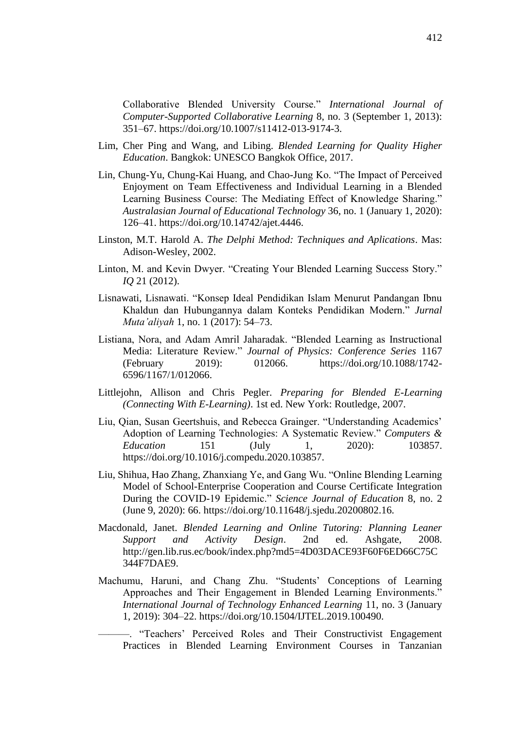Collaborative Blended University Course." *International Journal of Computer-Supported Collaborative Learning* 8, no. 3 (September 1, 2013): 351–67. https://doi.org/10.1007/s11412-013-9174-3.

- Lim, Cher Ping and Wang, and Libing. *Blended Learning for Quality Higher Education*. Bangkok: UNESCO Bangkok Office, 2017.
- Lin, Chung-Yu, Chung-Kai Huang, and Chao-Jung Ko. "The Impact of Perceived Enjoyment on Team Effectiveness and Individual Learning in a Blended Learning Business Course: The Mediating Effect of Knowledge Sharing." *Australasian Journal of Educational Technology* 36, no. 1 (January 1, 2020): 126–41. https://doi.org/10.14742/ajet.4446.
- Linston, M.T. Harold A. *The Delphi Method: Techniques and Aplications*. Mas: Adison-Wesley, 2002.
- Linton, M. and Kevin Dwyer. "Creating Your Blended Learning Success Story." *IQ* 21 (2012).
- Lisnawati, Lisnawati. "Konsep Ideal Pendidikan Islam Menurut Pandangan Ibnu Khaldun dan Hubungannya dalam Konteks Pendidikan Modern." *Jurnal Muta'aliyah* 1, no. 1 (2017): 54–73.
- Listiana, Nora, and Adam Amril Jaharadak. "Blended Learning as Instructional Media: Literature Review." *Journal of Physics: Conference Series* 1167 (February 2019): 012066. https://doi.org/10.1088/1742- 6596/1167/1/012066.
- Littlejohn, Allison and Chris Pegler. *Preparing for Blended E-Learning (Connecting With E-Learning)*. 1st ed. New York: Routledge, 2007.
- Liu, Qian, Susan Geertshuis, and Rebecca Grainger. "Understanding Academics' Adoption of Learning Technologies: A Systematic Review." *Computers & Education* 151 (July 1, 2020): 103857. https://doi.org/10.1016/j.compedu.2020.103857.
- Liu, Shihua, Hao Zhang, Zhanxiang Ye, and Gang Wu. "Online Blending Learning Model of School-Enterprise Cooperation and Course Certificate Integration During the COVID-19 Epidemic." *Science Journal of Education* 8, no. 2 (June 9, 2020): 66. https://doi.org/10.11648/j.sjedu.20200802.16.
- Macdonald, Janet. *Blended Learning and Online Tutoring: Planning Leaner Support and Activity Design*. 2nd ed. Ashgate, 2008. http://gen.lib.rus.ec/book/index.php?md5=4D03DACE93F60F6ED66C75C 344F7DAE9.
- Machumu, Haruni, and Chang Zhu. "Students' Conceptions of Learning Approaches and Their Engagement in Blended Learning Environments." *International Journal of Technology Enhanced Learning* 11, no. 3 (January 1, 2019): 304–22. https://doi.org/10.1504/IJTEL.2019.100490.

———. "Teachers' Perceived Roles and Their Constructivist Engagement Practices in Blended Learning Environment Courses in Tanzanian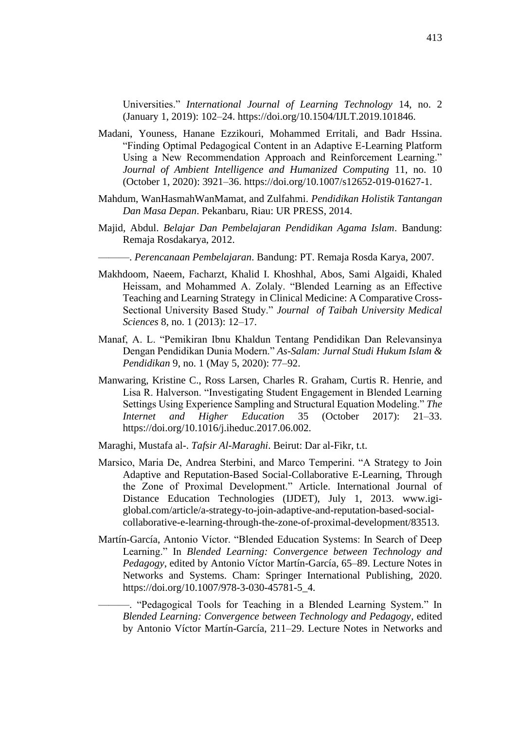Universities." *International Journal of Learning Technology* 14, no. 2 (January 1, 2019): 102–24. https://doi.org/10.1504/IJLT.2019.101846.

- Madani, Youness, Hanane Ezzikouri, Mohammed Erritali, and Badr Hssina. "Finding Optimal Pedagogical Content in an Adaptive E-Learning Platform Using a New Recommendation Approach and Reinforcement Learning." *Journal of Ambient Intelligence and Humanized Computing* 11, no. 10 (October 1, 2020): 3921–36. https://doi.org/10.1007/s12652-019-01627-1.
- Mahdum, WanHasmahWanMamat, and Zulfahmi. *Pendidikan Holistik Tantangan Dan Masa Depan*. Pekanbaru, Riau: UR PRESS, 2014.
- Majid, Abdul. *Belajar Dan Pembelajaran Pendidikan Agama Islam*. Bandung: Remaja Rosdakarya, 2012.
	- ———. *Perencanaan Pembelajaran*. Bandung: PT. Remaja Rosda Karya, 2007.
- Makhdoom, Naeem, Facharzt, Khalid I. Khoshhal, Abos, Sami Algaidi, Khaled Heissam, and Mohammed A. Zolaly. "Blended Learning as an Effective Teaching and Learning Strategy in Clinical Medicine: A Comparative Cross-Sectional University Based Study." *Journal of Taibah University Medical Sciences* 8, no. 1 (2013): 12–17.
- Manaf, A. L. "Pemikiran Ibnu Khaldun Tentang Pendidikan Dan Relevansinya Dengan Pendidikan Dunia Modern." *As-Salam: Jurnal Studi Hukum Islam & Pendidikan* 9, no. 1 (May 5, 2020): 77–92.
- Manwaring, Kristine C., Ross Larsen, Charles R. Graham, Curtis R. Henrie, and Lisa R. Halverson. "Investigating Student Engagement in Blended Learning Settings Using Experience Sampling and Structural Equation Modeling." *The Internet and Higher Education* 35 (October 2017): 21–33. https://doi.org/10.1016/j.iheduc.2017.06.002.
- Maraghi, Mustafa al-. *Tafsir Al-Maraghi*. Beirut: Dar al-Fikr, t.t.
- Marsico, Maria De, Andrea Sterbini, and Marco Temperini. "A Strategy to Join Adaptive and Reputation-Based Social-Collaborative E-Learning, Through the Zone of Proximal Development." Article. International Journal of Distance Education Technologies (IJDET), July 1, 2013. www.igiglobal.com/article/a-strategy-to-join-adaptive-and-reputation-based-socialcollaborative-e-learning-through-the-zone-of-proximal-development/83513.
- Martín-García, Antonio Víctor. "Blended Education Systems: In Search of Deep Learning." In *Blended Learning: Convergence between Technology and Pedagogy*, edited by Antonio Víctor Martín-García, 65–89. Lecture Notes in Networks and Systems. Cham: Springer International Publishing, 2020. https://doi.org/10.1007/978-3-030-45781-5\_4.

———. "Pedagogical Tools for Teaching in a Blended Learning System." In *Blended Learning: Convergence between Technology and Pedagogy*, edited by Antonio Víctor Martín-García, 211–29. Lecture Notes in Networks and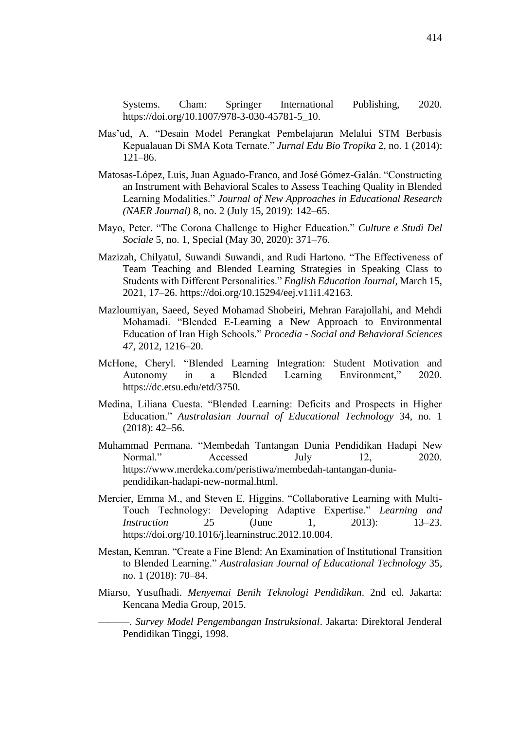Systems. Cham: Springer International Publishing, 2020. https://doi.org/10.1007/978-3-030-45781-5\_10.

- Mas'ud, A. "Desain Model Perangkat Pembelajaran Melalui STM Berbasis Kepualauan Di SMA Kota Ternate." *Jurnal Edu Bio Tropika* 2, no. 1 (2014): 121–86.
- Matosas-López, Luis, Juan Aguado-Franco, and José Gómez-Galán. "Constructing an Instrument with Behavioral Scales to Assess Teaching Quality in Blended Learning Modalities." *Journal of New Approaches in Educational Research (NAER Journal)* 8, no. 2 (July 15, 2019): 142–65.
- Mayo, Peter. "The Corona Challenge to Higher Education." *Culture e Studi Del Sociale* 5, no. 1, Special (May 30, 2020): 371–76.
- Mazizah, Chilyatul, Suwandi Suwandi, and Rudi Hartono. "The Effectiveness of Team Teaching and Blended Learning Strategies in Speaking Class to Students with Different Personalities." *English Education Journal*, March 15, 2021, 17–26. https://doi.org/10.15294/eej.v11i1.42163.
- Mazloumiyan, Saeed, Seyed Mohamad Shobeiri, Mehran Farajollahi, and Mehdi Mohamadi. "Blended E-Learning a New Approach to Environmental Education of Iran High Schools." *Procedia - Social and Behavioral Sciences 47*, 2012, 1216–20.
- McHone, Cheryl. "Blended Learning Integration: Student Motivation and Autonomy in a Blended Learning Environment," 2020. https://dc.etsu.edu/etd/3750.
- Medina, Liliana Cuesta. "Blended Learning: Deficits and Prospects in Higher Education." *Australasian Journal of Educational Technology* 34, no. 1 (2018): 42–56.
- [Muhammad Permana.](https://www.merdeka.com/reporter/muhammad-permana/) "Membedah Tantangan Dunia Pendidikan Hadapi New Normal." Accessed July 12, 2020. https://www.merdeka.com/peristiwa/membedah-tantangan-duniapendidikan-hadapi-new-normal.html.
- Mercier, Emma M., and Steven E. Higgins. "Collaborative Learning with Multi-Touch Technology: Developing Adaptive Expertise." *Learning and Instruction* 25 (June 1, 2013): 13–23. https://doi.org/10.1016/j.learninstruc.2012.10.004.
- Mestan, Kemran. "Create a Fine Blend: An Examination of Institutional Transition to Blended Learning." *Australasian Journal of Educational Technology* 35, no. 1 (2018): 70–84.
- Miarso, Yusufhadi. *Menyemai Benih Teknologi Pendidikan*. 2nd ed. Jakarta: Kencana Media Group, 2015.

———. *Survey Model Pengembangan Instruksional*. Jakarta: Direktoral Jenderal Pendidikan Tinggi, 1998.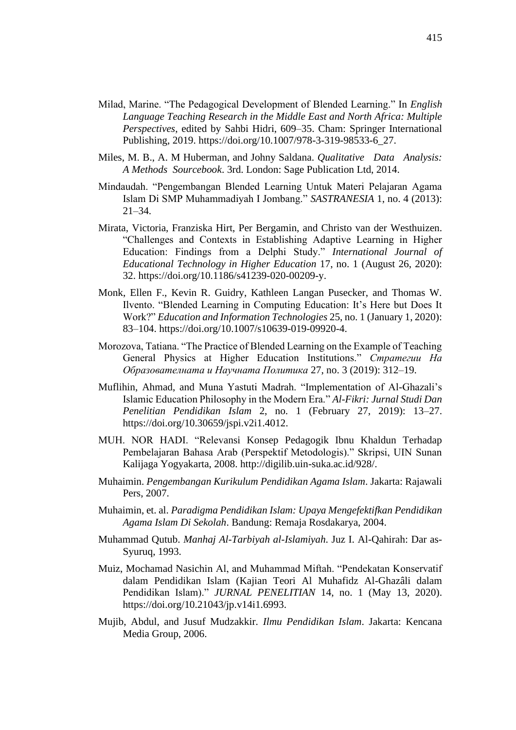- Milad, Marine. "The Pedagogical Development of Blended Learning." In *English Language Teaching Research in the Middle East and North Africa: Multiple Perspectives*, edited by Sahbi Hidri, 609–35. Cham: Springer International Publishing, 2019. https://doi.org/10.1007/978-3-319-98533-6\_27.
- Miles, M. B., A. M Huberman, and Johny Saldana. *Qualitative Data Analysis: A Methods Sourcebook*. 3rd. London: Sage Publication Ltd, 2014.
- Mindaudah. "Pengembangan Blended Learning Untuk Materi Pelajaran Agama Islam Di SMP Muhammadiyah I Jombang." *SASTRANESIA* 1, no. 4 (2013): 21–34.
- Mirata, Victoria, Franziska Hirt, Per Bergamin, and Christo van der Westhuizen. "Challenges and Contexts in Establishing Adaptive Learning in Higher Education: Findings from a Delphi Study." *International Journal of Educational Technology in Higher Education* 17, no. 1 (August 26, 2020): 32. https://doi.org/10.1186/s41239-020-00209-y.
- Monk, Ellen F., Kevin R. Guidry, Kathleen Langan Pusecker, and Thomas W. Ilvento. "Blended Learning in Computing Education: It's Here but Does It Work?" *Education and Information Technologies* 25, no. 1 (January 1, 2020): 83–104. https://doi.org/10.1007/s10639-019-09920-4.
- Morozova, Tatiana. "The Practice of Blended Learning on the Example of Teaching General Physics at Higher Education Institutions." *Стратегии На Образователната и Научната Политика* 27, no. 3 (2019): 312–19.
- Muflihin, Ahmad, and Muna Yastuti Madrah. "Implementation of Al-Ghazali's Islamic Education Philosophy in the Modern Era." *Al-Fikri: Jurnal Studi Dan Penelitian Pendidikan Islam* 2, no. 1 (February 27, 2019): 13–27. https://doi.org/10.30659/jspi.v2i1.4012.
- MUH. NOR HADI. "Relevansi Konsep Pedagogik Ibnu Khaldun Terhadap Pembelajaran Bahasa Arab (Perspektif Metodologis)." Skripsi, UIN Sunan Kalijaga Yogyakarta, 2008. http://digilib.uin-suka.ac.id/928/.
- Muhaimin. *Pengembangan Kurikulum Pendidikan Agama Islam*. Jakarta: Rajawali Pers, 2007.
- Muhaimin, et. al. *Paradigma Pendidikan Islam: Upaya Mengefektifkan Pendidikan Agama Islam Di Sekolah*. Bandung: Remaja Rosdakarya, 2004.
- Muhammad Qutub. *Manhaj Al-Tarbiyah al-Islamiyah*. Juz I. Al-Qahirah: Dar as-Syuruq, 1993.
- Muiz, Mochamad Nasichin Al, and Muhammad Miftah. "Pendekatan Konservatif dalam Pendidikan Islam (Kajian Teori Al Muhafidz Al-Ghazâli dalam Pendidikan Islam)." *JURNAL PENELITIAN* 14, no. 1 (May 13, 2020). https://doi.org/10.21043/jp.v14i1.6993.
- Mujib, Abdul, and Jusuf Mudzakkir. *Ilmu Pendidikan Islam*. Jakarta: Kencana Media Group, 2006.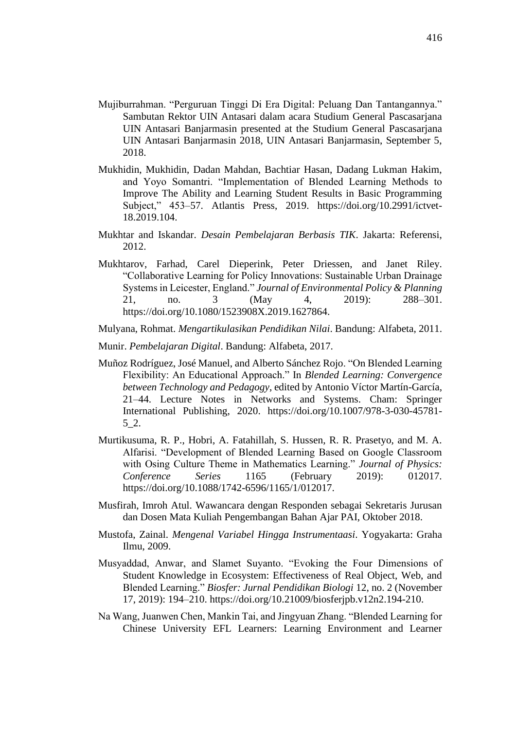- Mujiburrahman. "Perguruan Tinggi Di Era Digital: Peluang Dan Tantangannya." Sambutan Rektor UIN Antasari dalam acara Studium General Pascasarjana UIN Antasari Banjarmasin presented at the Studium General Pascasarjana UIN Antasari Banjarmasin 2018, UIN Antasari Banjarmasin, September 5, 2018.
- Mukhidin, Mukhidin, Dadan Mahdan, Bachtiar Hasan, Dadang Lukman Hakim, and Yoyo Somantri. "Implementation of Blended Learning Methods to Improve The Ability and Learning Student Results in Basic Programming Subject," 453–57. Atlantis Press, 2019. https://doi.org/10.2991/ictvet-18.2019.104.
- Mukhtar and Iskandar. *Desain Pembelajaran Berbasis TIK*. Jakarta: Referensi, 2012.
- Mukhtarov, Farhad, Carel Dieperink, Peter Driessen, and Janet Riley. "Collaborative Learning for Policy Innovations: Sustainable Urban Drainage Systems in Leicester, England." *Journal of Environmental Policy & Planning* 21, no. 3 (May 4, 2019): 288–301. https://doi.org/10.1080/1523908X.2019.1627864.
- Mulyana, Rohmat. *Mengartikulasikan Pendidikan Nilai*. Bandung: Alfabeta, 2011.
- Munir. *Pembelajaran Digital*. Bandung: Alfabeta, 2017.
- Muñoz Rodríguez, José Manuel, and Alberto Sánchez Rojo. "On Blended Learning Flexibility: An Educational Approach." In *Blended Learning: Convergence between Technology and Pedagogy*, edited by Antonio Víctor Martín-García, 21–44. Lecture Notes in Networks and Systems. Cham: Springer International Publishing, 2020. https://doi.org/10.1007/978-3-030-45781- 5\_2.
- Murtikusuma, R. P., Hobri, A. Fatahillah, S. Hussen, R. R. Prasetyo, and M. A. Alfarisi. "Development of Blended Learning Based on Google Classroom with Osing Culture Theme in Mathematics Learning." *Journal of Physics: Conference Series* 1165 (February 2019): 012017. https://doi.org/10.1088/1742-6596/1165/1/012017.
- Musfirah, Imroh Atul. Wawancara dengan Responden sebagai Sekretaris Jurusan dan Dosen Mata Kuliah Pengembangan Bahan Ajar PAI, Oktober 2018.
- Mustofa, Zainal. *Mengenal Variabel Hingga Instrumentaasi*. Yogyakarta: Graha Ilmu, 2009.
- Musyaddad, Anwar, and Slamet Suyanto. "Evoking the Four Dimensions of Student Knowledge in Ecosystem: Effectiveness of Real Object, Web, and Blended Learning." *Biosfer: Jurnal Pendidikan Biologi* 12, no. 2 (November 17, 2019): 194–210. https://doi.org/10.21009/biosferjpb.v12n2.194-210.
- Na Wang, Juanwen Chen, Mankin Tai, and Jingyuan Zhang. "Blended Learning for Chinese University EFL Learners: Learning Environment and Learner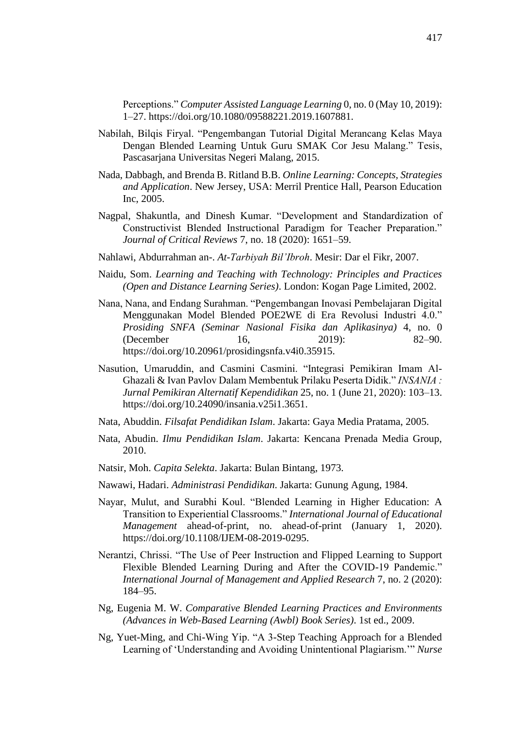Perceptions." *Computer Assisted Language Learning* 0, no. 0 (May 10, 2019): 1–27. https://doi.org/10.1080/09588221.2019.1607881.

- Nabilah, Bilqis Firyal. "Pengembangan Tutorial Digital Merancang Kelas Maya Dengan Blended Learning Untuk Guru SMAK Cor Jesu Malang." Tesis, Pascasarjana Universitas Negeri Malang, 2015.
- Nada, Dabbagh, and Brenda B. Ritland B.B. *Online Learning: Concepts, Strategies and Application*. New Jersey, USA: Merril Prentice Hall, Pearson Education Inc, 2005.
- Nagpal, Shakuntla, and Dinesh Kumar. "Development and Standardization of Constructivist Blended Instructional Paradigm for Teacher Preparation." *Journal of Critical Reviews* 7, no. 18 (2020): 1651–59.
- Nahlawi, Abdurrahman an-. *At-Tarbiyah Bil'Ibroh*. Mesir: Dar el Fikr, 2007.
- Naidu, Som. *Learning and Teaching with Technology: Principles and Practices (Open and Distance Learning Series)*. London: Kogan Page Limited, 2002.
- Nana, Nana, and Endang Surahman. "Pengembangan Inovasi Pembelajaran Digital Menggunakan Model Blended POE2WE di Era Revolusi Industri 4.0." *Prosiding SNFA (Seminar Nasional Fisika dan Aplikasinya)* 4, no. 0 (December 16, 2019): 82–90. https://doi.org/10.20961/prosidingsnfa.v4i0.35915.
- Nasution, Umaruddin, and Casmini Casmini. "Integrasi Pemikiran Imam Al-Ghazali & Ivan Pavlov Dalam Membentuk Prilaku Peserta Didik." *INSANIA : Jurnal Pemikiran Alternatif Kependidikan* 25, no. 1 (June 21, 2020): 103–13. https://doi.org/10.24090/insania.v25i1.3651.
- Nata, Abuddin. *Filsafat Pendidikan Islam*. Jakarta: Gaya Media Pratama, 2005.
- Nata, Abudin. *Ilmu Pendidikan Islam*. Jakarta: Kencana Prenada Media Group, 2010.
- Natsir, Moh. *Capita Selekta*. Jakarta: Bulan Bintang, 1973.
- Nawawi, Hadari. *Administrasi Pendidikan*. Jakarta: Gunung Agung, 1984.
- Nayar, Mulut, and Surabhi Koul. "Blended Learning in Higher Education: A Transition to Experiential Classrooms." *International Journal of Educational Management* ahead-of-print, no. ahead-of-print (January 1, 2020). https://doi.org/10.1108/IJEM-08-2019-0295.
- Nerantzi, Chrissi. "The Use of Peer Instruction and Flipped Learning to Support Flexible Blended Learning During and After the COVID-19 Pandemic." *International Journal of Management and Applied Research* 7, no. 2 (2020): 184–95.
- Ng, Eugenia M. W. *Comparative Blended Learning Practices and Environments (Advances in Web-Based Learning (Awbl) Book Series)*. 1st ed., 2009.
- Ng, Yuet-Ming, and Chi-Wing Yip. "A 3-Step Teaching Approach for a Blended Learning of 'Understanding and Avoiding Unintentional Plagiarism.'" *Nurse*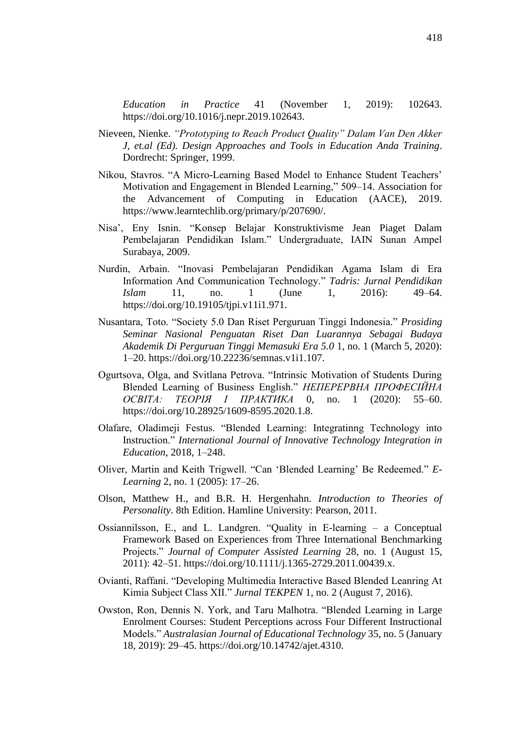*Education in Practice* 41 (November 1, 2019): 102643. https://doi.org/10.1016/j.nepr.2019.102643.

- Nieveen, Nienke. *"Prototyping to Reach Product Quality" Dalam Van Den Akker J, et.al (Ed). Design Approaches and Tools in Education Anda Training*. Dordrecht: Springer, 1999.
- Nikou, Stavros. "A Micro-Learning Based Model to Enhance Student Teachers' Motivation and Engagement in Blended Learning," 509–14. Association for the Advancement of Computing in Education (AACE), 2019. https://www.learntechlib.org/primary/p/207690/.
- Nisa', Eny Isnin. "Konsep Belajar Konstruktivisme Jean Piaget Dalam Pembelajaran Pendidikan Islam." Undergraduate, IAIN Sunan Ampel Surabaya, 2009.
- Nurdin, Arbain. "Inovasi Pembelajaran Pendidikan Agama Islam di Era Information And Communication Technology." *Tadris: Jurnal Pendidikan Islam* 11, no. 1 (June 1, 2016): 49–64. https://doi.org/10.19105/tjpi.v11i1.971.
- Nusantara, Toto. "Society 5.0 Dan Riset Perguruan Tinggi Indonesia." *Prosiding Seminar Nasional Penguatan Riset Dan Luarannya Sebagai Budaya Akademik Di Perguruan Tinggi Memasuki Era 5.0* 1, no. 1 (March 5, 2020): 1–20. https://doi.org/10.22236/semnas.v1i1.107.
- Ogurtsova, Olga, and Svitlana Petrova. "Intrinsic Motivation of Students During Blended Learning of Business English." *НЕПЕРЕРВНА ПРОФЕСІЙНА ОСВІТА: ТЕОРІЯ І ПРАКТИКА* 0, no. 1 (2020): 55–60. https://doi.org/10.28925/1609-8595.2020.1.8.
- Olafare, Oladimeji Festus. "Blended Learning: Integratinng Technology into Instruction." *International Journal of Innovative Technology Integration in Education*, 2018, 1–248.
- Oliver, Martin and Keith Trigwell. "Can 'Blended Learning' Be Redeemed." *E-Learning* 2, no. 1 (2005): 17–26.
- Olson, Matthew H., and B.R. H. Hergenhahn. *Introduction to Theories of Personality*. 8th Edition. Hamline University: Pearson, 2011.
- Ossiannilsson, E., and L. Landgren. "Quality in E‐learning a Conceptual Framework Based on Experiences from Three International Benchmarking Projects." *Journal of Computer Assisted Learning* 28, no. 1 (August 15, 2011): 42–51. https://doi.org/10.1111/j.1365-2729.2011.00439.x.
- Ovianti, Raffani. "Developing Multimedia Interactive Based Blended Leanring At Kimia Subject Class XII." *Jurnal TEKPEN* 1, no. 2 (August 7, 2016).
- Owston, Ron, Dennis N. York, and Taru Malhotra. "Blended Learning in Large Enrolment Courses: Student Perceptions across Four Different Instructional Models." *Australasian Journal of Educational Technology* 35, no. 5 (January 18, 2019): 29–45. https://doi.org/10.14742/ajet.4310.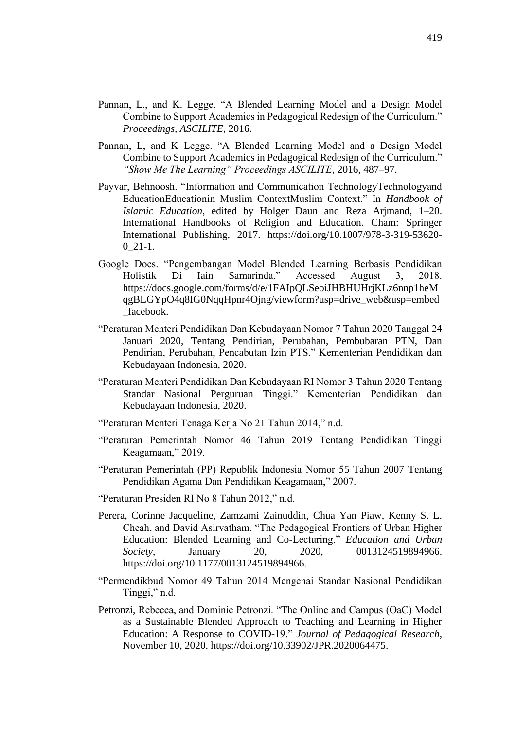- Pannan, L., and K. Legge. "A Blended Learning Model and a Design Model Combine to Support Academics in Pedagogical Redesign of the Curriculum." *Proceedings, ASCILITE*, 2016.
- Pannan, L, and K Legge. "A Blended Learning Model and a Design Model Combine to Support Academics in Pedagogical Redesign of the Curriculum." *"Show Me The Learning" Proceedings ASCILITE*, 2016, 487–97.
- Payvar, Behnoosh. "Information and Communication TechnologyTechnologyand EducationEducationin Muslim ContextMuslim Context." In *Handbook of Islamic Education*, edited by Holger Daun and Reza Arjmand, 1–20. International Handbooks of Religion and Education. Cham: Springer International Publishing, 2017. https://doi.org/10.1007/978-3-319-53620-  $0_21-1.$
- Google Docs. "Pengembangan Model Blended Learning Berbasis Pendidikan Holistik Di Iain Samarinda." Accessed August 3, 2018. https://docs.google.com/forms/d/e/1FAIpQLSeoiJHBHUHrjKLz6nnp1heM qgBLGYpO4q8IG0NqqHpnr4Ojng/viewform?usp=drive\_web&usp=embed \_facebook.
- "Peraturan Menteri Pendidikan Dan Kebudayaan Nomor 7 Tahun 2020 Tanggal 24 Januari 2020, Tentang Pendirian, Perubahan, Pembubaran PTN, Dan Pendirian, Perubahan, Pencabutan Izin PTS." Kementerian Pendidikan dan Kebudayaan Indonesia, 2020.
- "Peraturan Menteri Pendidikan Dan Kebudayaan RI Nomor 3 Tahun 2020 Tentang Standar Nasional Perguruan Tinggi." Kementerian Pendidikan dan Kebudayaan Indonesia, 2020.
- "Peraturan Menteri Tenaga Kerja No 21 Tahun 2014," n.d.
- "Peraturan Pemerintah Nomor 46 Tahun 2019 Tentang Pendidikan Tinggi Keagamaan," 2019.
- "Peraturan Pemerintah (PP) Republik Indonesia Nomor 55 Tahun 2007 Tentang Pendidikan Agama Dan Pendidikan Keagamaan," 2007.
- "Peraturan Presiden RI No 8 Tahun 2012," n.d.
- Perera, Corinne Jacqueline, Zamzami Zainuddin, Chua Yan Piaw, Kenny S. L. Cheah, and David Asirvatham. "The Pedagogical Frontiers of Urban Higher Education: Blended Learning and Co-Lecturing." *Education and Urban Society*, January 20, 2020, 0013124519894966. https://doi.org/10.1177/0013124519894966.
- "Permendikbud Nomor 49 Tahun 2014 Mengenai Standar Nasional Pendidikan Tinggi," n.d.
- Petronzi, Rebecca, and Dominic Petronzi. "The Online and Campus (OaC) Model as a Sustainable Blended Approach to Teaching and Learning in Higher Education: A Response to COVID-19." *Journal of Pedagogical Research*, November 10, 2020. https://doi.org/10.33902/JPR.2020064475.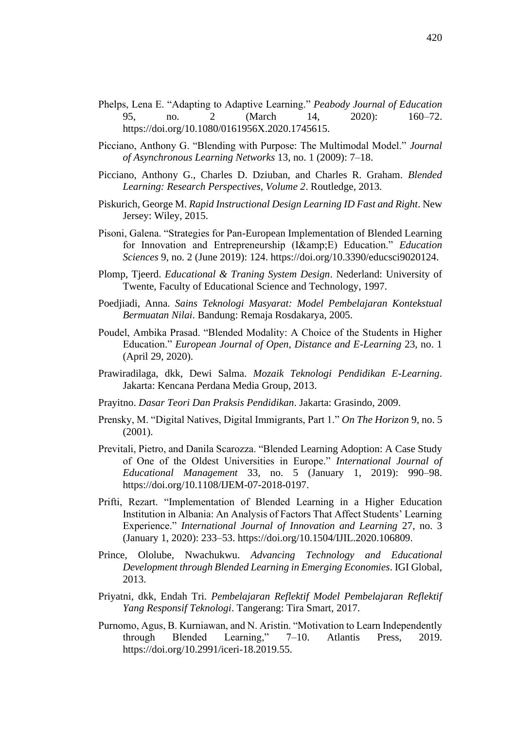- Phelps, Lena E. "Adapting to Adaptive Learning." *Peabody Journal of Education* 95, no. 2 (March 14, 2020): 160–72. https://doi.org/10.1080/0161956X.2020.1745615.
- Picciano, Anthony G. "Blending with Purpose: The Multimodal Model." *Journal of Asynchronous Learning Networks* 13, no. 1 (2009): 7–18.
- Picciano, Anthony G., Charles D. Dziuban, and Charles R. Graham. *Blended Learning: Research Perspectives, Volume 2*. Routledge, 2013.
- Piskurich, George M. *Rapid Instructional Design Learning ID Fast and Right*. New Jersey: Wiley, 2015.
- Pisoni, Galena. "Strategies for Pan-European Implementation of Blended Learning for Innovation and Entrepreneurship (I&E) Education." *Education Sciences* 9, no. 2 (June 2019): 124. https://doi.org/10.3390/educsci9020124.
- Plomp, Tjeerd. *Educational & Traning System Design*. Nederland: University of Twente, Faculty of Educational Science and Technology, 1997.
- Poedjiadi, Anna. *Sains Teknologi Masyarat: Model Pembelajaran Kontekstual Bermuatan Nilai*. Bandung: Remaja Rosdakarya, 2005.
- Poudel, Ambika Prasad. "Blended Modality: A Choice of the Students in Higher Education." *European Journal of Open, Distance and E-Learning* 23, no. 1 (April 29, 2020).
- Prawiradilaga, dkk, Dewi Salma. *Mozaik Teknologi Pendidikan E-Learning*. Jakarta: Kencana Perdana Media Group, 2013.
- Prayitno. *Dasar Teori Dan Praksis Pendidikan*. Jakarta: Grasindo, 2009.
- Prensky, M. "Digital Natives, Digital Immigrants, Part 1." *On The Horizon* 9, no. 5 (2001).
- Previtali, Pietro, and Danila Scarozza. "Blended Learning Adoption: A Case Study of One of the Oldest Universities in Europe." *International Journal of Educational Management* 33, no. 5 (January 1, 2019): 990–98. https://doi.org/10.1108/IJEM-07-2018-0197.
- Prifti, Rezart. "Implementation of Blended Learning in a Higher Education Institution in Albania: An Analysis of Factors That Affect Students' Learning Experience." *International Journal of Innovation and Learning* 27, no. 3 (January 1, 2020): 233–53. https://doi.org/10.1504/IJIL.2020.106809.
- Prince, Ololube, Nwachukwu. *Advancing Technology and Educational Development through Blended Learning in Emerging Economies*. IGI Global, 2013.
- Priyatni, dkk, Endah Tri. *Pembelajaran Reflektif Model Pembelajaran Reflektif Yang Responsif Teknologi*. Tangerang: Tira Smart, 2017.
- Purnomo, Agus, B. Kurniawan, and N. Aristin. "Motivation to Learn Independently through Blended Learning," 7–10. Atlantis Press, 2019. https://doi.org/10.2991/iceri-18.2019.55.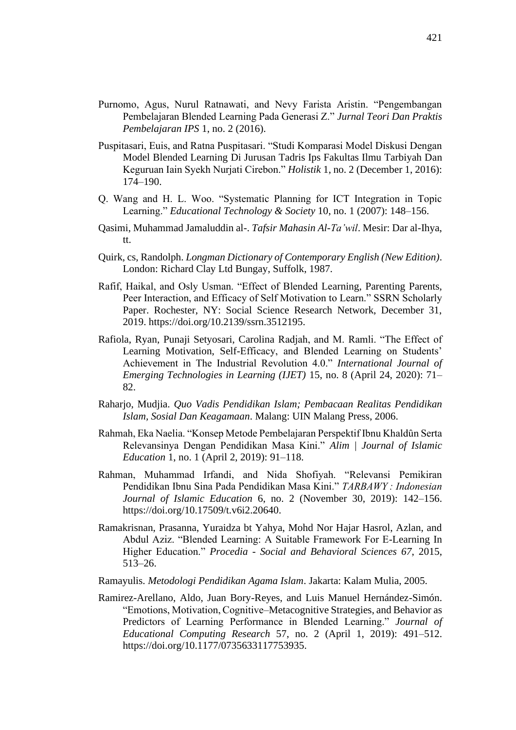- Purnomo, Agus, Nurul Ratnawati, and Nevy Farista Aristin. "Pengembangan Pembelajaran Blended Learning Pada Generasi Z." *Jurnal Teori Dan Praktis Pembelajaran IPS* 1, no. 2 (2016).
- Puspitasari, Euis, and Ratna Puspitasari. "Studi Komparasi Model Diskusi Dengan Model Blended Learning Di Jurusan Tadris Ips Fakultas Ilmu Tarbiyah Dan Keguruan Iain Syekh Nurjati Cirebon." *Holistik* 1, no. 2 (December 1, 2016): 174–190.
- Q. Wang and H. L. Woo. "Systematic Planning for ICT Integration in Topic Learning." *Educational Technology & Society* 10, no. 1 (2007): 148–156.
- Qasimi, Muhammad Jamaluddin al-. *Tafsir Mahasin Al-Ta'wil*. Mesir: Dar al-Ihya, tt.
- Quirk, cs, Randolph. *Longman Dictionary of Contemporary English (New Edition)*. London: Richard Clay Ltd Bungay, Suffolk, 1987.
- Rafif, Haikal, and Osly Usman. "Effect of Blended Learning, Parenting Parents, Peer Interaction, and Efficacy of Self Motivation to Learn." SSRN Scholarly Paper. Rochester, NY: Social Science Research Network, December 31, 2019. https://doi.org/10.2139/ssrn.3512195.
- Rafiola, Ryan, Punaji Setyosari, Carolina Radjah, and M. Ramli. "The Effect of Learning Motivation, Self-Efficacy, and Blended Learning on Students' Achievement in The Industrial Revolution 4.0." *International Journal of Emerging Technologies in Learning (IJET)* 15, no. 8 (April 24, 2020): 71– 82.
- Raharjo, Mudjia. *Quo Vadis Pendidikan Islam; Pembacaan Realitas Pendidikan Islam, Sosial Dan Keagamaan*. Malang: UIN Malang Press, 2006.
- Rahmah, Eka Naelia. "Konsep Metode Pembelajaran Perspektif Ibnu Khaldȗn Serta Relevansinya Dengan Pendidikan Masa Kini." *Alim | Journal of Islamic Education* 1, no. 1 (April 2, 2019): 91–118.
- Rahman, Muhammad Irfandi, and Nida Shofiyah. "Relevansi Pemikiran Pendidikan Ibnu Sina Pada Pendidikan Masa Kini." *TARBAWY : Indonesian Journal of Islamic Education* 6, no. 2 (November 30, 2019): 142–156. https://doi.org/10.17509/t.v6i2.20640.
- Ramakrisnan, Prasanna, Yuraidza bt Yahya, Mohd Nor Hajar Hasrol, Azlan, and Abdul Aziz. "Blended Learning: A Suitable Framework For E-Learning In Higher Education." *Procedia - Social and Behavioral Sciences 67*, 2015, 513–26.
- Ramayulis. *Metodologi Pendidikan Agama Islam*. Jakarta: Kalam Mulia, 2005.
- Ramirez-Arellano, Aldo, Juan Bory-Reyes, and Luis Manuel Hernández-Simón. "Emotions, Motivation, Cognitive–Metacognitive Strategies, and Behavior as Predictors of Learning Performance in Blended Learning." *Journal of Educational Computing Research* 57, no. 2 (April 1, 2019): 491–512. https://doi.org/10.1177/0735633117753935.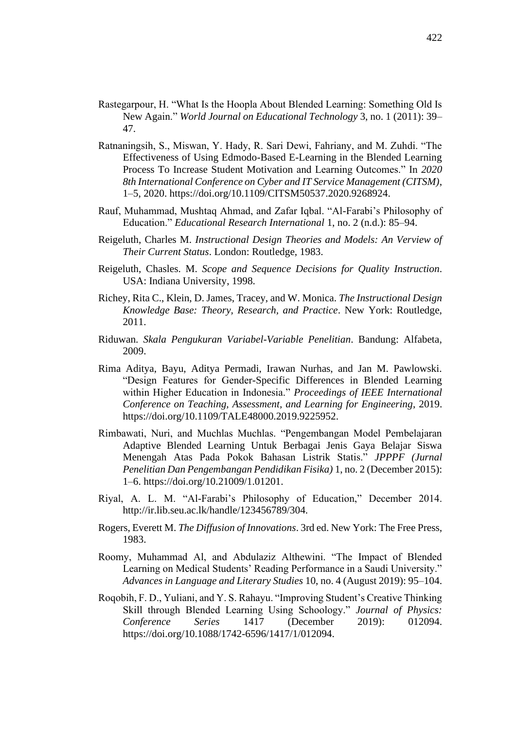- Rastegarpour, H. "What Is the Hoopla About Blended Learning: Something Old Is New Again." *World Journal on Educational Technology* 3, no. 1 (2011): 39– 47.
- Ratnaningsih, S., Miswan, Y. Hady, R. Sari Dewi, Fahriany, and M. Zuhdi. "The Effectiveness of Using Edmodo-Based E-Learning in the Blended Learning Process To Increase Student Motivation and Learning Outcomes." In *2020 8th International Conference on Cyber and IT Service Management (CITSM)*, 1–5, 2020. https://doi.org/10.1109/CITSM50537.2020.9268924.
- Rauf, Muhammad, Mushtaq Ahmad, and Zafar Iqbal. "Al-Farabi's Philosophy of Education." *Educational Research International* 1, no. 2 (n.d.): 85–94.
- Reigeluth, Charles M. *Instructional Design Theories and Models: An Verview of Their Current Status*. London: Routledge, 1983.
- Reigeluth, Chasles. M. *Scope and Sequence Decisions for Quality Instruction*. USA: Indiana University, 1998.
- Richey, Rita C., Klein, D. James, Tracey, and W. Monica. *The Instructional Design Knowledge Base: Theory, Research, and Practice*. New York: Routledge, 2011.
- Riduwan. *Skala Pengukuran Variabel-Variable Penelitian*. Bandung: Alfabeta, 2009.
- Rima Aditya, Bayu, Aditya Permadi, Irawan Nurhas, and Jan M. Pawlowski. "Design Features for Gender-Specific Differences in Blended Learning within Higher Education in Indonesia." *Proceedings of IEEE International Conference on Teaching, Assessment, and Learning for Engineering*, 2019. https://doi.org/10.1109/TALE48000.2019.9225952.
- Rimbawati, Nuri, and Muchlas Muchlas. "Pengembangan Model Pembelajaran Adaptive Blended Learning Untuk Berbagai Jenis Gaya Belajar Siswa Menengah Atas Pada Pokok Bahasan Listrik Statis." *JPPPF (Jurnal Penelitian Dan Pengembangan Pendidikan Fisika)* 1, no. 2 (December 2015): 1–6. https://doi.org/10.21009/1.01201.
- Riyal, A. L. M. "Al-Farabi's Philosophy of Education," December 2014. http://ir.lib.seu.ac.lk/handle/123456789/304.
- Rogers, Everett M. *The Diffusion of Innovations*. 3rd ed. New York: The Free Press, 1983.
- Roomy, Muhammad Al, and Abdulaziz Althewini. "The Impact of Blended Learning on Medical Students' Reading Performance in a Saudi University." *Advances in Language and Literary Studies* 10, no. 4 (August 2019): 95–104.
- Roqobih, F. D., Yuliani, and Y. S. Rahayu. "Improving Student's Creative Thinking Skill through Blended Learning Using Schoology." *Journal of Physics: Conference Series* 1417 (December 2019): 012094. https://doi.org/10.1088/1742-6596/1417/1/012094.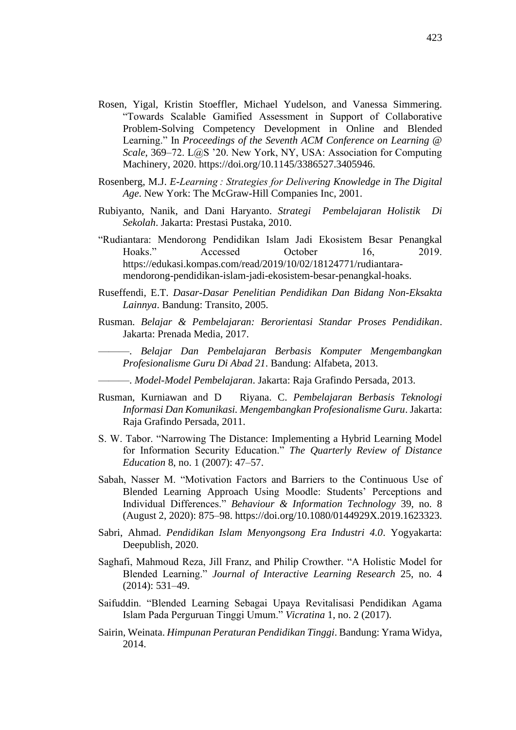- Rosen, Yigal, Kristin Stoeffler, Michael Yudelson, and Vanessa Simmering. "Towards Scalable Gamified Assessment in Support of Collaborative Problem-Solving Competency Development in Online and Blended Learning." In *Proceedings of the Seventh ACM Conference on Learning @ Scale*, 369–72. L@S '20. New York, NY, USA: Association for Computing Machinery, 2020. https://doi.org/10.1145/3386527.3405946.
- Rosenberg, M.J. *E-Learning : Strategies for Delivering Knowledge in The Digital Age*. New York: The McGraw-Hill Companies Inc, 2001.
- Rubiyanto, Nanik, and Dani Haryanto. *Strategi Pembelajaran Holistik Di Sekolah*. Jakarta: Prestasi Pustaka, 2010.
- "Rudiantara: Mendorong Pendidikan Islam Jadi Ekosistem Besar Penangkal Hoaks." Accessed October 16, 2019. https://edukasi.kompas.com/read/2019/10/02/18124771/rudiantaramendorong-pendidikan-islam-jadi-ekosistem-besar-penangkal-hoaks.
- Ruseffendi, E.T. *Dasar-Dasar Penelitian Pendidikan Dan Bidang Non-Eksakta Lainnya*. Bandung: Transito, 2005.
- Rusman. *Belajar & Pembelajaran: Berorientasi Standar Proses Pendidikan*. Jakarta: Prenada Media, 2017.
	- ———. *Belajar Dan Pembelajaran Berbasis Komputer Mengembangkan Profesionalisme Guru Di Abad 21*. Bandung: Alfabeta, 2013.
	- ———. *Model-Model Pembelajaran*. Jakarta: Raja Grafindo Persada, 2013.
- Rusman, Kurniawan and D Riyana. C. *Pembelajaran Berbasis Teknologi Informasi Dan Komunikasi. Mengembangkan Profesionalisme Guru*. Jakarta: Raja Grafindo Persada, 2011.
- S. W. Tabor. "Narrowing The Distance: Implementing a Hybrid Learning Model for Information Security Education." *The Quarterly Review of Distance Education* 8, no. 1 (2007): 47–57.
- Sabah, Nasser M. "Motivation Factors and Barriers to the Continuous Use of Blended Learning Approach Using Moodle: Students' Perceptions and Individual Differences." *Behaviour & Information Technology* 39, no. 8 (August 2, 2020): 875–98. https://doi.org/10.1080/0144929X.2019.1623323.
- Sabri, Ahmad. *Pendidikan Islam Menyongsong Era Industri 4.0*. Yogyakarta: Deepublish, 2020.
- Saghafi, Mahmoud Reza, Jill Franz, and Philip Crowther. "A Holistic Model for Blended Learning." *Journal of Interactive Learning Research* 25, no. 4 (2014): 531–49.
- Saifuddin. "Blended Learning Sebagai Upaya Revitalisasi Pendidikan Agama Islam Pada Perguruan Tinggi Umum." *Vicratina* 1, no. 2 (2017).
- Sairin, Weinata. *Himpunan Peraturan Pendidikan Tinggi*. Bandung: Yrama Widya, 2014.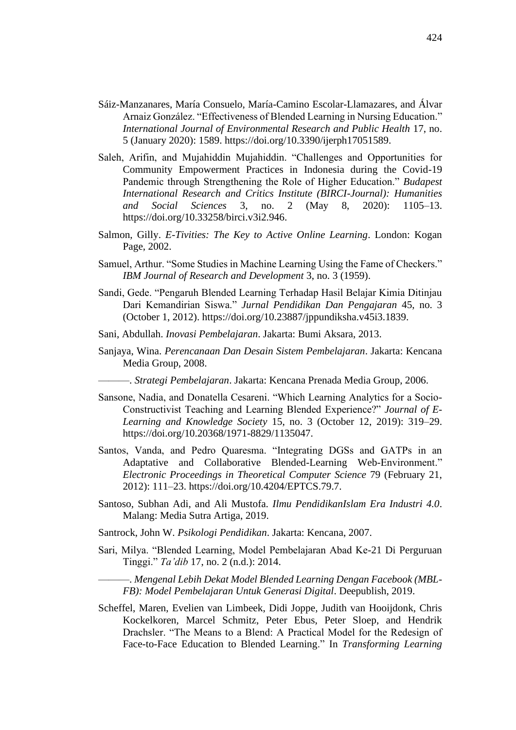- Sáiz-Manzanares, María Consuelo, María-Camino Escolar-Llamazares, and Álvar Arnaiz González. "Effectiveness of Blended Learning in Nursing Education." *International Journal of Environmental Research and Public Health* 17, no. 5 (January 2020): 1589. https://doi.org/10.3390/ijerph17051589.
- Saleh, Arifin, and Mujahiddin Mujahiddin. "Challenges and Opportunities for Community Empowerment Practices in Indonesia during the Covid-19 Pandemic through Strengthening the Role of Higher Education." *Budapest International Research and Critics Institute (BIRCI-Journal): Humanities and Social Sciences* 3, no. 2 (May 8, 2020): 1105–13. https://doi.org/10.33258/birci.v3i2.946.
- Salmon, Gilly. *E-Tivities: The Key to Active Online Learning*. London: Kogan Page, 2002.
- Samuel, Arthur. "Some Studies in Machine Learning Using the Fame of Checkers." *IBM Journal of Research and Development* 3, no. 3 (1959).
- Sandi, Gede. "Pengaruh Blended Learning Terhadap Hasil Belajar Kimia Ditinjau Dari Kemandirian Siswa." *Jurnal Pendidikan Dan Pengajaran* 45, no. 3 (October 1, 2012). https://doi.org/10.23887/jppundiksha.v45i3.1839.
- Sani, Abdullah. *Inovasi Pembelajaran*. Jakarta: Bumi Aksara, 2013.
- Sanjaya, Wina. *Perencanaan Dan Desain Sistem Pembelajaran*. Jakarta: Kencana Media Group, 2008.
	- ———. *Strategi Pembelajaran*. Jakarta: Kencana Prenada Media Group, 2006.
- Sansone, Nadia, and Donatella Cesareni. "Which Learning Analytics for a Socio-Constructivist Teaching and Learning Blended Experience?" *Journal of E-Learning and Knowledge Society* 15, no. 3 (October 12, 2019): 319–29. https://doi.org/10.20368/1971-8829/1135047.
- Santos, Vanda, and Pedro Quaresma. "Integrating DGSs and GATPs in an Adaptative and Collaborative Blended-Learning Web-Environment." *Electronic Proceedings in Theoretical Computer Science* 79 (February 21, 2012): 111–23. https://doi.org/10.4204/EPTCS.79.7.
- Santoso, Subhan Adi, and Ali Mustofa. *Ilmu PendidikanIslam Era Industri 4.0*. Malang: Media Sutra Artiga, 2019.
- Santrock, John W. *Psikologi Pendidikan*. Jakarta: Kencana, 2007.
- Sari, Milya. "Blended Learning, Model Pembelajaran Abad Ke-21 Di Perguruan Tinggi." *Ta'dib* 17, no. 2 (n.d.): 2014.

———. *Mengenal Lebih Dekat Model Blended Learning Dengan Facebook (MBL-FB): Model Pembelajaran Untuk Generasi Digital*. Deepublish, 2019.

Scheffel, Maren, Evelien van Limbeek, Didi Joppe, Judith van Hooijdonk, Chris Kockelkoren, Marcel Schmitz, Peter Ebus, Peter Sloep, and Hendrik Drachsler. "The Means to a Blend: A Practical Model for the Redesign of Face-to-Face Education to Blended Learning." In *Transforming Learning*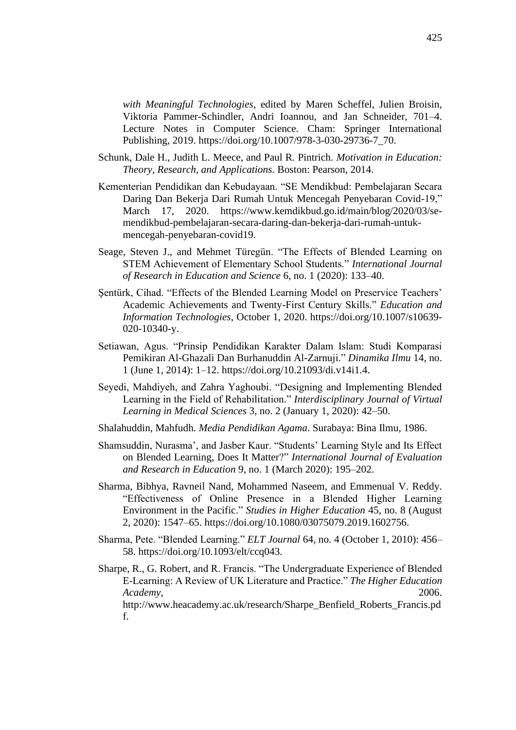*with Meaningful Technologies*, edited by Maren Scheffel, Julien Broisin, Viktoria Pammer-Schindler, Andri Ioannou, and Jan Schneider, 701–4. Lecture Notes in Computer Science. Cham: Springer International Publishing, 2019. https://doi.org/10.1007/978-3-030-29736-7\_70.

- Schunk, Dale H., Judith L. Meece, and Paul R. Pintrich. *Motivation in Education: Theory, Research, and Applications*. Boston: Pearson, 2014.
- Kementerian Pendidikan dan Kebudayaan. "SE Mendikbud: Pembelajaran Secara Daring Dan Bekerja Dari Rumah Untuk Mencegah Penyebaran Covid-19," March 17, 2020. https://www.kemdikbud.go.id/main/blog/2020/03/semendikbud-pembelajaran-secara-daring-dan-bekerja-dari-rumah-untukmencegah-penyebaran-covid19.
- Seage, Steven J., and Mehmet Türegün. "The Effects of Blended Learning on STEM Achievement of Elementary School Students." *International Journal of Research in Education and Science* 6, no. 1 (2020): 133–40.
- Şentürk, Cihad. "Effects of the Blended Learning Model on Preservice Teachers' Academic Achievements and Twenty-First Century Skills." *Education and Information Technologies*, October 1, 2020. https://doi.org/10.1007/s10639- 020-10340-y.
- Setiawan, Agus. "Prinsip Pendidikan Karakter Dalam Islam: Studi Komparasi Pemikiran Al-Ghazali Dan Burhanuddin Al-Zarnuji." *Dinamika Ilmu* 14, no. 1 (June 1, 2014): 1–12. https://doi.org/10.21093/di.v14i1.4.
- Seyedi, Mahdiyeh, and Zahra Yaghoubi. "Designing and Implementing Blended Learning in the Field of Rehabilitation." *Interdisciplinary Journal of Virtual Learning in Medical Sciences* 3, no. 2 (January 1, 2020): 42–50.
- Shalahuddin, Mahfudh. *Media Pendidikan Agama*. Surabaya: Bina Ilmu, 1986.
- Shamsuddin, Nurasma', and Jasber Kaur. "Students' Learning Style and Its Effect on Blended Learning, Does It Matter?" *International Journal of Evaluation and Research in Education* 9, no. 1 (March 2020): 195–202.
- Sharma, Bibhya, Ravneil Nand, Mohammed Naseem, and Emmenual V. Reddy. "Effectiveness of Online Presence in a Blended Higher Learning Environment in the Pacific." *Studies in Higher Education* 45, no. 8 (August 2, 2020): 1547–65. https://doi.org/10.1080/03075079.2019.1602756.
- Sharma, Pete. "Blended Learning." *ELT Journal* 64, no. 4 (October 1, 2010): 456– 58. https://doi.org/10.1093/elt/ccq043.
- Sharpe, R., G. Robert, and R. Francis. "The Undergraduate Experience of Blended E-Learning: A Review of UK Literature and Practice." *The Higher Education Academy*, 2006. http://www.heacademy.ac.uk/research/Sharpe\_Benfield\_Roberts\_Francis.pd f.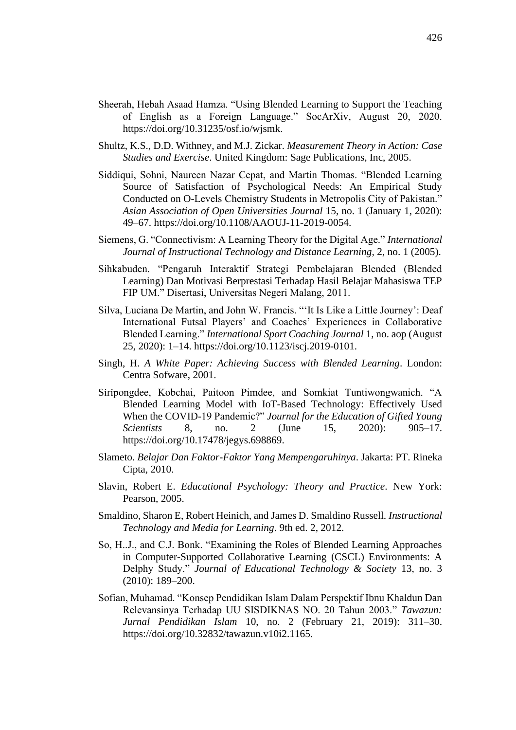- Sheerah, Hebah Asaad Hamza. "Using Blended Learning to Support the Teaching of English as a Foreign Language." SocArXiv, August 20, 2020. https://doi.org/10.31235/osf.io/wjsmk.
- Shultz, K.S., D.D. Withney, and M.J. Zickar. *Measurement Theory in Action: Case Studies and Exercise*. United Kingdom: Sage Publications, Inc, 2005.
- Siddiqui, Sohni, Naureen Nazar Cepat, and Martin Thomas. "Blended Learning Source of Satisfaction of Psychological Needs: An Empirical Study Conducted on O-Levels Chemistry Students in Metropolis City of Pakistan." *Asian Association of Open Universities Journal* 15, no. 1 (January 1, 2020): 49–67. https://doi.org/10.1108/AAOUJ-11-2019-0054.
- Siemens, G. "Connectivism: A Learning Theory for the Digital Age." *International Journal of Instructional Technology and Distance Learning,* 2, no. 1 (2005).
- Sihkabuden. "Pengaruh Interaktif Strategi Pembelajaran Blended (Blended Learning) Dan Motivasi Berprestasi Terhadap Hasil Belajar Mahasiswa TEP FIP UM." Disertasi, Universitas Negeri Malang, 2011.
- Silva, Luciana De Martin, and John W. Francis. "'It Is Like a Little Journey': Deaf International Futsal Players' and Coaches' Experiences in Collaborative Blended Learning." *International Sport Coaching Journal* 1, no. aop (August 25, 2020): 1–14. https://doi.org/10.1123/iscj.2019-0101.
- Singh, H. *A White Paper: Achieving Success with Blended Learning*. London: Centra Sofware, 2001.
- Sı̇rı̇pongdee, Kobchai, Paitoon Pimdee, and Somkiat Tuntiwongwanich. "A Blended Learning Model with IoT-Based Technology: Effectively Used When the COVID-19 Pandemic?" *Journal for the Education of Gifted Young Scientists* 8, no. 2 (June 15, 2020): 905–17. https://doi.org/10.17478/jegys.698869.
- Slameto. *Belajar Dan Faktor-Faktor Yang Mempengaruhinya*. Jakarta: PT. Rineka Cipta, 2010.
- Slavin, Robert E. *Educational Psychology: Theory and Practice*. New York: Pearson, 2005.
- Smaldino, Sharon E, Robert Heinich, and James D. Smaldino Russell. *Instructional Technology and Media for Learning*. 9th ed. 2, 2012.
- So, H..J., and C.J. Bonk. "Examining the Roles of Blended Learning Approaches in Computer-Supported Collaborative Learning (CSCL) Environments: A Delphy Study." *Journal of Educational Technology & Society* 13, no. 3 (2010): 189–200.
- Sofian, Muhamad. "Konsep Pendidikan Islam Dalam Perspektif Ibnu Khaldun Dan Relevansinya Terhadap UU SISDIKNAS NO. 20 Tahun 2003." *Tawazun: Jurnal Pendidikan Islam* 10, no. 2 (February 21, 2019): 311–30. https://doi.org/10.32832/tawazun.v10i2.1165.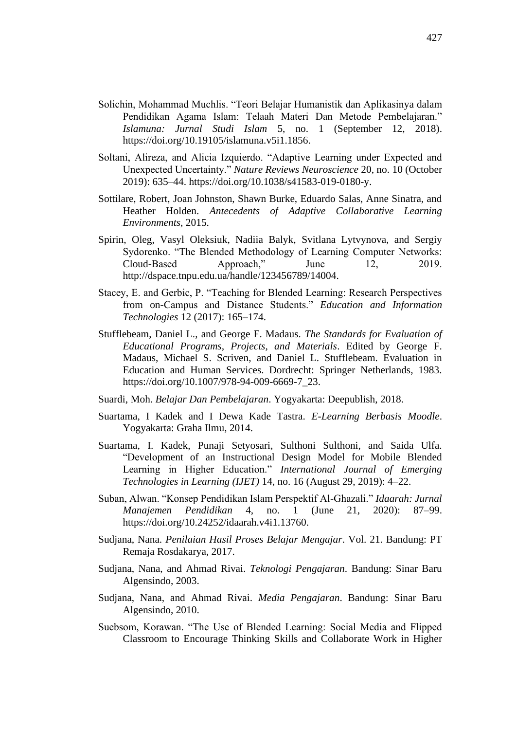- Solichin, Mohammad Muchlis. "Teori Belajar Humanistik dan Aplikasinya dalam Pendidikan Agama Islam: Telaah Materi Dan Metode Pembelajaran." *Islamuna: Jurnal Studi Islam* 5, no. 1 (September 12, 2018). https://doi.org/10.19105/islamuna.v5i1.1856.
- Soltani, Alireza, and Alicia Izquierdo. "Adaptive Learning under Expected and Unexpected Uncertainty." *Nature Reviews Neuroscience* 20, no. 10 (October 2019): 635–44. https://doi.org/10.1038/s41583-019-0180-y.
- Sottilare, Robert, Joan Johnston, Shawn Burke, Eduardo Salas, Anne Sinatra, and Heather Holden. *Antecedents of Adaptive Collaborative Learning Environments*, 2015.
- Spirin, Oleg, Vasyl Oleksiuk, Nadiia Balyk, Svitlana Lytvynova, and Sergiy Sydorenko. "The Blended Methodology of Learning Computer Networks: Cloud-Based Approach," June 12, 2019. http://dspace.tnpu.edu.ua/handle/123456789/14004.
- Stacey, E. and Gerbic, P. "Teaching for Blended Learning: Research Perspectives from on-Campus and Distance Students." *Education and Information Technologies* 12 (2017): 165–174.
- Stufflebeam, Daniel L., and George F. Madaus. *The Standards for Evaluation of Educational Programs, Projects, and Materials*. Edited by George F. Madaus, Michael S. Scriven, and Daniel L. Stufflebeam. Evaluation in Education and Human Services. Dordrecht: Springer Netherlands, 1983. https://doi.org/10.1007/978-94-009-6669-7\_23.
- Suardi, Moh. *Belajar Dan Pembelajaran*. Yogyakarta: Deepublish, 2018.
- Suartama, I Kadek and I Dewa Kade Tastra. *E-Learning Berbasis Moodle*. Yogyakarta: Graha Ilmu, 2014.
- Suartama, I. Kadek, Punaji Setyosari, Sulthoni Sulthoni, and Saida Ulfa. "Development of an Instructional Design Model for Mobile Blended Learning in Higher Education." *International Journal of Emerging Technologies in Learning (IJET)* 14, no. 16 (August 29, 2019): 4–22.
- Suban, Alwan. "Konsep Pendidikan Islam Perspektif Al-Ghazali." *Idaarah: Jurnal Manajemen Pendidikan* 4, no. 1 (June 21, 2020): 87–99. https://doi.org/10.24252/idaarah.v4i1.13760.
- Sudjana, Nana. *Penilaian Hasil Proses Belajar Mengajar*. Vol. 21. Bandung: PT Remaja Rosdakarya, 2017.
- Sudjana, Nana, and Ahmad Rivai. *Teknologi Pengajaran*. Bandung: Sinar Baru Algensindo, 2003.
- Sudjana, Nana, and Ahmad Rivai. *Media Pengajaran*. Bandung: Sinar Baru Algensindo, 2010.
- Suebsom, Korawan. "The Use of Blended Learning: Social Media and Flipped Classroom to Encourage Thinking Skills and Collaborate Work in Higher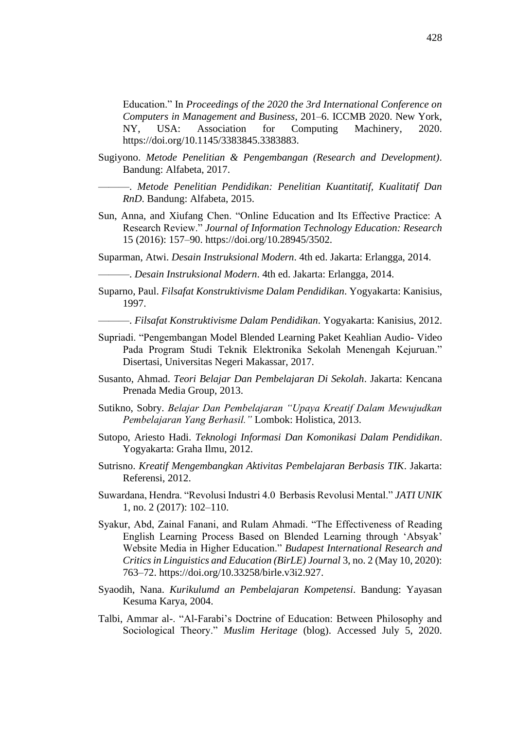Education." In *Proceedings of the 2020 the 3rd International Conference on Computers in Management and Business*, 201–6. ICCMB 2020. New York, NY, USA: Association for Computing Machinery, 2020. https://doi.org/10.1145/3383845.3383883.

Sugiyono. *Metode Penelitian & Pengembangan (Research and Development)*. Bandung: Alfabeta, 2017.

———. *Metode Penelitian Pendidikan: Penelitian Kuantitatif, Kualitatif Dan RnD*. Bandung: Alfabeta, 2015.

Sun, Anna, and Xiufang Chen. "Online Education and Its Effective Practice: A Research Review." *Journal of Information Technology Education: Research* 15 (2016): 157–90. https://doi.org/10.28945/3502.

Suparman, Atwi. *Desain Instruksional Modern*. 4th ed. Jakarta: Erlangga, 2014.

———. *Desain Instruksional Modern*. 4th ed. Jakarta: Erlangga, 2014.

Suparno, Paul. *Filsafat Konstruktivisme Dalam Pendidikan*. Yogyakarta: Kanisius, 1997.

———. *Filsafat Konstruktivisme Dalam Pendidikan*. Yogyakarta: Kanisius, 2012.

- Supriadi. "Pengembangan Model Blended Learning Paket Keahlian Audio- Video Pada Program Studi Teknik Elektronika Sekolah Menengah Kejuruan." Disertasi, Universitas Negeri Makassar, 2017.
- Susanto, Ahmad. *Teori Belajar Dan Pembelajaran Di Sekolah*. Jakarta: Kencana Prenada Media Group, 2013.
- Sutikno, Sobry. *Belajar Dan Pembelajaran "Upaya Kreatif Dalam Mewujudkan Pembelajaran Yang Berhasil."* Lombok: Holistica, 2013.
- Sutopo, Ariesto Hadi. *Teknologi Informasi Dan Komonikasi Dalam Pendidikan*. Yogyakarta: Graha Ilmu, 2012.
- Sutrisno. *Kreatif Mengembangkan Aktivitas Pembelajaran Berbasis TIK*. Jakarta: Referensi, 2012.
- Suwardana, Hendra. "Revolusi Industri 4.0 Berbasis Revolusi Mental." *JATI UNIK* 1, no. 2 (2017): 102–110.
- Syakur, Abd, Zainal Fanani, and Rulam Ahmadi. "The Effectiveness of Reading English Learning Process Based on Blended Learning through 'Absyak' Website Media in Higher Education." *Budapest International Research and Critics in Linguistics and Education (BirLE) Journal* 3, no. 2 (May 10, 2020): 763–72. https://doi.org/10.33258/birle.v3i2.927.
- Syaodih, Nana. *Kurikulumd an Pembelajaran Kompetensi*. Bandung: Yayasan Kesuma Karya, 2004.
- Talbi, Ammar al-. "Al-Farabi's Doctrine of Education: Between Philosophy and Sociological Theory." *Muslim Heritage* (blog). Accessed July 5, 2020.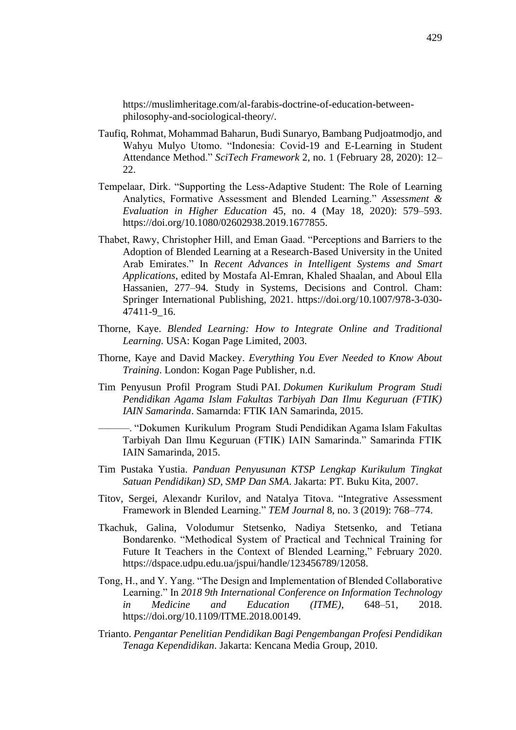https://muslimheritage.com/al-farabis-doctrine-of-education-betweenphilosophy-and-sociological-theory/.

- Taufiq, Rohmat, Mohammad Baharun, Budi Sunaryo, Bambang Pudjoatmodjo, and Wahyu Mulyo Utomo. "Indonesia: Covid-19 and E-Learning in Student Attendance Method." *SciTech Framework* 2, no. 1 (February 28, 2020): 12– 22.
- Tempelaar, Dirk. "Supporting the Less-Adaptive Student: The Role of Learning Analytics, Formative Assessment and Blended Learning." *Assessment & Evaluation in Higher Education* 45, no. 4 (May 18, 2020): 579–593. https://doi.org/10.1080/02602938.2019.1677855.
- Thabet, Rawy, Christopher Hill, and Eman Gaad. "Perceptions and Barriers to the Adoption of Blended Learning at a Research-Based University in the United Arab Emirates." In *Recent Advances in Intelligent Systems and Smart Applications*, edited by Mostafa Al-Emran, Khaled Shaalan, and Aboul Ella Hassanien, 277–94. Study in Systems, Decisions and Control. Cham: Springer International Publishing, 2021. https://doi.org/10.1007/978-3-030- 47411-9\_16.
- Thorne, Kaye. *Blended Learning: How to Integrate Online and Traditional Learning*. USA: Kogan Page Limited, 2003.
- Thorne, Kaye and David Mackey. *Everything You Ever Needed to Know About Training*. London: Kogan Page Publisher, n.d.
- Tim Penyusun Profil Program Studi PAI. *Dokumen Kurikulum Program Studi Pendidikan Agama Islam Fakultas Tarbiyah Dan Ilmu Keguruan (FTIK) IAIN Samarinda*. Samarnda: FTIK IAN Samarinda, 2015.

———. "Dokumen Kurikulum Program Studi Pendidikan Agama Islam Fakultas Tarbiyah Dan Ilmu Keguruan (FTIK) IAIN Samarinda." Samarinda FTIK IAIN Samarinda, 2015.

- Tim Pustaka Yustia. *Panduan Penyusunan KTSP Lengkap Kurikulum Tingkat Satuan Pendidikan) SD, SMP Dan SMA*. Jakarta: PT. Buku Kita, 2007.
- Titov, Sergei, Alexandr Kurilov, and Natalya Titova. "Integrative Assessment Framework in Blended Learning." *TEM Journal* 8, no. 3 (2019): 768–774.
- Tkachuk, Galina, Volodumur Stetsenko, Nadiya Stetsenko, and Tetiana Bondarenko. "Methodical System of Practical and Technical Training for Future It Teachers in the Context of Blended Learning," February 2020. https://dspace.udpu.edu.ua/jspui/handle/123456789/12058.
- Tong, H., and Y. Yang. "The Design and Implementation of Blended Collaborative Learning." In *2018 9th International Conference on Information Technology in Medicine and Education (ITME)*, 648–51, 2018. https://doi.org/10.1109/ITME.2018.00149.
- Trianto. *Pengantar Penelitian Pendidikan Bagi Pengembangan Profesi Pendidikan Tenaga Kependidikan*. Jakarta: Kencana Media Group, 2010.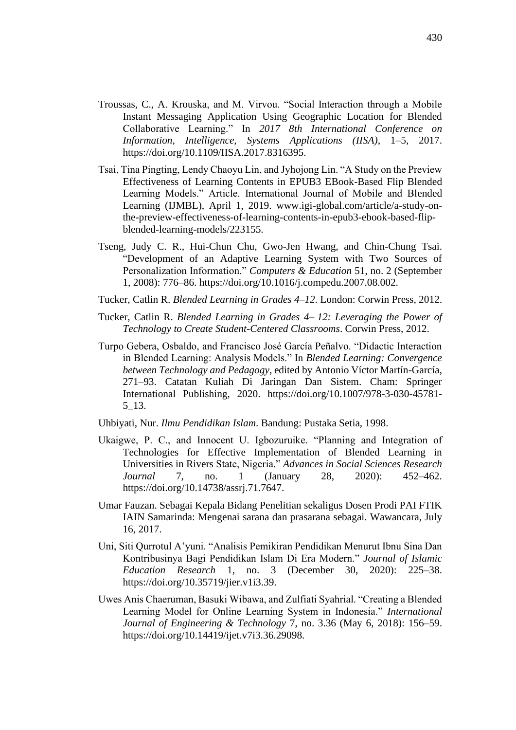- Troussas, C., A. Krouska, and M. Virvou. "Social Interaction through a Mobile Instant Messaging Application Using Geographic Location for Blended Collaborative Learning." In *2017 8th International Conference on Information, Intelligence, Systems Applications (IISA)*, 1–5, 2017. https://doi.org/10.1109/IISA.2017.8316395.
- Tsai, Tina Pingting, Lendy Chaoyu Lin, and Jyhojong Lin. "A Study on the Preview Effectiveness of Learning Contents in EPUB3 EBook-Based Flip Blended Learning Models." Article. International Journal of Mobile and Blended Learning (IJMBL), April 1, 2019. www.igi-global.com/article/a-study-onthe-preview-effectiveness-of-learning-contents-in-epub3-ebook-based-flipblended-learning-models/223155.
- Tseng, Judy C. R., Hui-Chun Chu, Gwo-Jen Hwang, and Chin-Chung Tsai. "Development of an Adaptive Learning System with Two Sources of Personalization Information." *Computers & Education* 51, no. 2 (September 1, 2008): 776–86. https://doi.org/10.1016/j.compedu.2007.08.002.
- Tucker, Catlin R. *Blended Learning in Grades 4–12*. London: Corwin Press, 2012.
- Tucker, Catlin R. *Blended Learning in Grades 4– 12: Leveraging the Power of Technology to Create Student-Centered Classrooms*. Corwin Press, 2012.
- Turpo Gebera, Osbaldo, and Francisco José García Peñalvo. "Didactic Interaction in Blended Learning: Analysis Models." In *Blended Learning: Convergence between Technology and Pedagogy*, edited by Antonio Víctor Martín-García, 271–93. Catatan Kuliah Di Jaringan Dan Sistem. Cham: Springer International Publishing, 2020. https://doi.org/10.1007/978-3-030-45781- 5\_13.
- Uhbiyati, Nur. *Ilmu Pendidikan Islam*. Bandung: Pustaka Setia, 1998.
- Ukaigwe, P. C., and Innocent U. Igbozuruike. "Planning and Integration of Technologies for Effective Implementation of Blended Learning in Universities in Rivers State, Nigeria." *Advances in Social Sciences Research Journal* 7, no. 1 (January 28, 2020): 452–462. https://doi.org/10.14738/assrj.71.7647.
- Umar Fauzan. Sebagai Kepala Bidang Penelitian sekaligus Dosen Prodi PAI FTIK IAIN Samarinda: Mengenai sarana dan prasarana sebagai. Wawancara, July 16, 2017.
- Uni, Siti Qurrotul A'yuni. "Analisis Pemikiran Pendidikan Menurut Ibnu Sina Dan Kontribusinya Bagi Pendidikan Islam Di Era Modern." *Journal of Islamic Education Research* 1, no. 3 (December 30, 2020): 225–38. https://doi.org/10.35719/jier.v1i3.39.
- Uwes Anis Chaeruman, Basuki Wibawa, and Zulfiati Syahrial. "Creating a Blended Learning Model for Online Learning System in Indonesia." *International Journal of Engineering & Technology* 7, no. 3.36 (May 6, 2018): 156–59. https://doi.org/10.14419/ijet.v7i3.36.29098.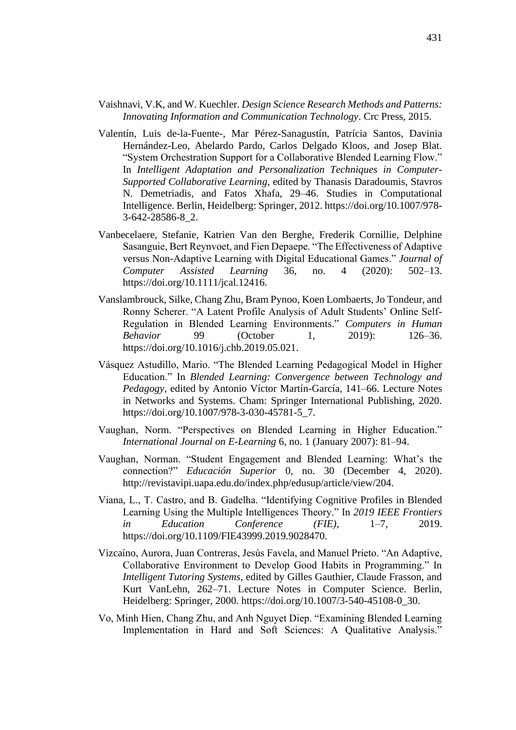- Vaishnavi, V.K, and W. Kuechler. *Design Science Research Methods and Patterns: Innovating Information and Communication Technology*. Crc Press, 2015.
- Valentín, Luis de-la-Fuente-, Mar Pérez-Sanagustín, Patrícia Santos, Davinia Hernández-Leo, Abelardo Pardo, Carlos Delgado Kloos, and Josep Blat. "System Orchestration Support for a Collaborative Blended Learning Flow." In *Intelligent Adaptation and Personalization Techniques in Computer-Supported Collaborative Learning*, edited by Thanasis Daradoumis, Stavros N. Demetriadis, and Fatos Xhafa, 29–46. Studies in Computational Intelligence. Berlin, Heidelberg: Springer, 2012. https://doi.org/10.1007/978- 3-642-28586-8\_2.
- Vanbecelaere, Stefanie, Katrien Van den Berghe, Frederik Cornillie, Delphine Sasanguie, Bert Reynvoet, and Fien Depaepe. "The Effectiveness of Adaptive versus Non-Adaptive Learning with Digital Educational Games." *Journal of Computer Assisted Learning* 36, no. 4 (2020): 502–13. https://doi.org/10.1111/jcal.12416.
- Vanslambrouck, Silke, Chang Zhu, Bram Pynoo, Koen Lombaerts, Jo Tondeur, and Ronny Scherer. "A Latent Profile Analysis of Adult Students' Online Self-Regulation in Blended Learning Environments." *Computers in Human Behavior* 99 (October 1, 2019): 126–36. https://doi.org/10.1016/j.chb.2019.05.021.
- Vásquez Astudillo, Mario. "The Blended Learning Pedagogical Model in Higher Education." In *Blended Learning: Convergence between Technology and Pedagogy*, edited by Antonio Víctor Martín-García, 141–66. Lecture Notes in Networks and Systems. Cham: Springer International Publishing, 2020. https://doi.org/10.1007/978-3-030-45781-5\_7.
- Vaughan, Norm. "Perspectives on Blended Learning in Higher Education." *International Journal on E-Learning* 6, no. 1 (January 2007): 81–94.
- Vaughan, Norman. "Student Engagement and Blended Learning: What's the connection?" *Educación Superior* 0, no. 30 (December 4, 2020). http://revistavipi.uapa.edu.do/index.php/edusup/article/view/204.
- Viana, L., T. Castro, and B. Gadelha. "Identifying Cognitive Profiles in Blended Learning Using the Multiple Intelligences Theory." In *2019 IEEE Frontiers in Education Conference (FIE)*, 1–7, 2019. https://doi.org/10.1109/FIE43999.2019.9028470.
- Vizcaíno, Aurora, Juan Contreras, Jesús Favela, and Manuel Prieto. "An Adaptive, Collaborative Environment to Develop Good Habits in Programming." In *Intelligent Tutoring Systems*, edited by Gilles Gauthier, Claude Frasson, and Kurt VanLehn, 262–71. Lecture Notes in Computer Science. Berlin, Heidelberg: Springer, 2000. https://doi.org/10.1007/3-540-45108-0\_30.
- Vo, Minh Hien, Chang Zhu, and Anh Nguyet Diep. "Examining Blended Learning Implementation in Hard and Soft Sciences: A Qualitative Analysis."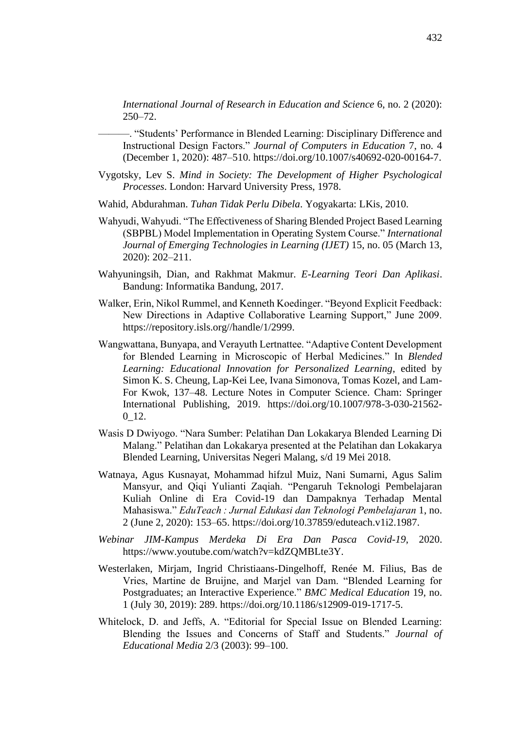*International Journal of Research in Education and Science* 6, no. 2 (2020): 250–72.

———. "Students' Performance in Blended Learning: Disciplinary Difference and Instructional Design Factors." *Journal of Computers in Education* 7, no. 4 (December 1, 2020): 487–510. https://doi.org/10.1007/s40692-020-00164-7.

- Vygotsky, Lev S. *Mind in Society: The Development of Higher Psychological Processes*. London: Harvard University Press, 1978.
- Wahid, Abdurahman. *Tuhan Tidak Perlu Dibela*. Yogyakarta: LKis, 2010.
- Wahyudi, Wahyudi. "The Effectiveness of Sharing Blended Project Based Learning (SBPBL) Model Implementation in Operating System Course." *International Journal of Emerging Technologies in Learning (IJET)* 15, no. 05 (March 13, 2020): 202–211.
- Wahyuningsih, Dian, and Rakhmat Makmur. *E-Learning Teori Dan Aplikasi*. Bandung: Informatika Bandung, 2017.
- Walker, Erin, Nikol Rummel, and Kenneth Koedinger. "Beyond Explicit Feedback: New Directions in Adaptive Collaborative Learning Support," June 2009. https://repository.isls.org//handle/1/2999.
- Wangwattana, Bunyapa, and Verayuth Lertnattee. "Adaptive Content Development for Blended Learning in Microscopic of Herbal Medicines." In *Blended Learning: Educational Innovation for Personalized Learning*, edited by Simon K. S. Cheung, Lap-Kei Lee, Ivana Simonova, Tomas Kozel, and Lam-For Kwok, 137–48. Lecture Notes in Computer Science. Cham: Springer International Publishing, 2019. https://doi.org/10.1007/978-3-030-21562- 0\_12.
- Wasis D Dwiyogo. "Nara Sumber: Pelatihan Dan Lokakarya Blended Learning Di Malang." Pelatihan dan Lokakarya presented at the Pelatihan dan Lokakarya Blended Learning, Universitas Negeri Malang, s/d 19 Mei 2018.
- Watnaya, Agus Kusnayat, Mohammad hifzul Muiz, Nani Sumarni, Agus Salim Mansyur, and Qiqi Yulianti Zaqiah. "Pengaruh Teknologi Pembelajaran Kuliah Online di Era Covid-19 dan Dampaknya Terhadap Mental Mahasiswa." *EduTeach : Jurnal Edukasi dan Teknologi Pembelajaran* 1, no. 2 (June 2, 2020): 153–65. https://doi.org/10.37859/eduteach.v1i2.1987.
- *Webinar JIM-Kampus Merdeka Di Era Dan Pasca Covid-19*, 2020. https://www.youtube.com/watch?v=kdZQMBLte3Y.
- Westerlaken, Mirjam, Ingrid Christiaans-Dingelhoff, Renée M. Filius, Bas de Vries, Martine de Bruijne, and Marjel van Dam. "Blended Learning for Postgraduates; an Interactive Experience." *BMC Medical Education* 19, no. 1 (July 30, 2019): 289. https://doi.org/10.1186/s12909-019-1717-5.
- Whitelock, D. and Jeffs, A. "Editorial for Special Issue on Blended Learning: Blending the Issues and Concerns of Staff and Students." *Journal of Educational Media* 2/3 (2003): 99–100.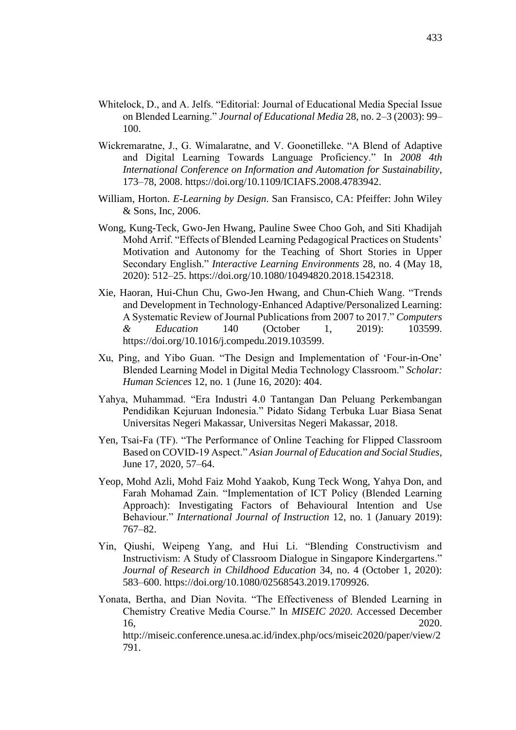- Whitelock, D., and A. Jelfs. "Editorial: Journal of Educational Media Special Issue on Blended Learning." *Journal of Educational Media* 28, no. 2–3 (2003): 99– 100.
- Wickremaratne, J., G. Wimalaratne, and V. Goonetilleke. "A Blend of Adaptive and Digital Learning Towards Language Proficiency." In *2008 4th International Conference on Information and Automation for Sustainability*, 173–78, 2008. https://doi.org/10.1109/ICIAFS.2008.4783942.
- William, Horton. *E-Learning by Design*. San Fransisco, CA: Pfeiffer: John Wiley & Sons, Inc, 2006.
- Wong, Kung-Teck, Gwo-Jen Hwang, Pauline Swee Choo Goh, and Siti Khadijah Mohd Arrif. "Effects of Blended Learning Pedagogical Practices on Students' Motivation and Autonomy for the Teaching of Short Stories in Upper Secondary English." *Interactive Learning Environments* 28, no. 4 (May 18, 2020): 512–25. https://doi.org/10.1080/10494820.2018.1542318.
- Xie, Haoran, Hui-Chun Chu, Gwo-Jen Hwang, and Chun-Chieh Wang. "Trends and Development in Technology-Enhanced Adaptive/Personalized Learning: A Systematic Review of Journal Publications from 2007 to 2017." *Computers & Education* 140 (October 1, 2019): 103599. https://doi.org/10.1016/j.compedu.2019.103599.
- Xu, Ping, and Yibo Guan. "The Design and Implementation of 'Four-in-One' Blended Learning Model in Digital Media Technology Classroom." *Scholar: Human Sciences* 12, no. 1 (June 16, 2020): 404.
- Yahya, Muhammad. "Era Industri 4.0 Tantangan Dan Peluang Perkembangan Pendidikan Kejuruan Indonesia." Pidato Sidang Terbuka Luar Biasa Senat Universitas Negeri Makassar, Universitas Negeri Makassar, 2018.
- Yen, Tsai-Fa (TF). "The Performance of Online Teaching for Flipped Classroom Based on COVID-19 Aspect." *Asian Journal of Education and Social Studies*, June 17, 2020, 57–64.
- Yeop, Mohd Azli, Mohd Faiz Mohd Yaakob, Kung Teck Wong, Yahya Don, and Farah Mohamad Zain. "Implementation of ICT Policy (Blended Learning Approach): Investigating Factors of Behavioural Intention and Use Behaviour." *International Journal of Instruction* 12, no. 1 (January 2019): 767–82.
- Yin, Qiushi, Weipeng Yang, and Hui Li. "Blending Constructivism and Instructivism: A Study of Classroom Dialogue in Singapore Kindergartens." *Journal of Research in Childhood Education* 34, no. 4 (October 1, 2020): 583–600. https://doi.org/10.1080/02568543.2019.1709926.
- Yonata, Bertha, and Dian Novita. "The Effectiveness of Blended Learning in Chemistry Creative Media Course." In *MISEIC 2020*. Accessed December 16, 2020.

http://miseic.conference.unesa.ac.id/index.php/ocs/miseic2020/paper/view/2 791.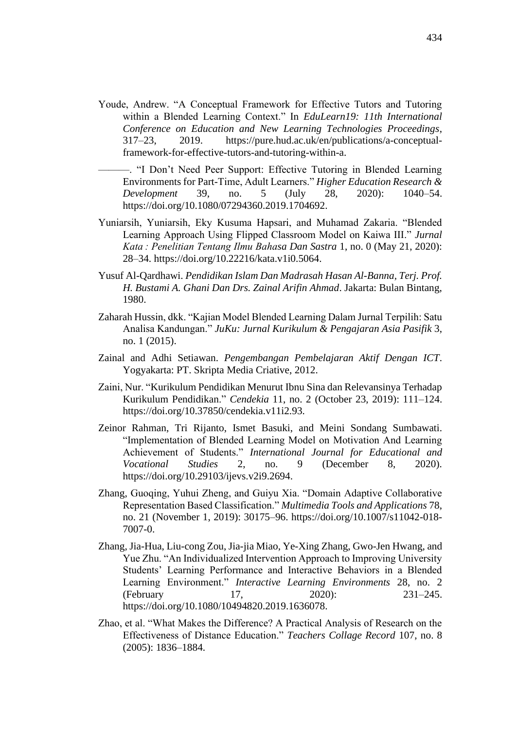- Youde, Andrew. "A Conceptual Framework for Effective Tutors and Tutoring within a Blended Learning Context." In *EduLearn19: 11th International Conference on Education and New Learning Technologies Proceedings*, 317–23, 2019. https://pure.hud.ac.uk/en/publications/a-conceptualframework-for-effective-tutors-and-tutoring-within-a.
- ———. "I Don't Need Peer Support: Effective Tutoring in Blended Learning Environments for Part-Time, Adult Learners." *Higher Education Research & Development* 39, no. 5 (July 28, 2020): 1040–54. https://doi.org/10.1080/07294360.2019.1704692.
- Yuniarsih, Yuniarsih, Eky Kusuma Hapsari, and Muhamad Zakaria. "Blended Learning Approach Using Flipped Classroom Model on Kaiwa III." *Jurnal Kata : Penelitian Tentang Ilmu Bahasa Dan Sastra* 1, no. 0 (May 21, 2020): 28–34. https://doi.org/10.22216/kata.v1i0.5064.
- Yusuf Al-Qardhawi. *Pendidikan Islam Dan Madrasah Hasan Al-Banna, Terj. Prof. H. Bustami A. Ghani Dan Drs. Zainal Arifin Ahmad*. Jakarta: Bulan Bintang, 1980.
- Zaharah Hussin, dkk. "Kajian Model Blended Learning Dalam Jurnal Terpilih: Satu Analisa Kandungan." *JuKu: Jurnal Kurikulum & Pengajaran Asia Pasifik* 3, no. 1 (2015).
- Zainal and Adhi Setiawan. *Pengembangan Pembelajaran Aktif Dengan ICT*. Yogyakarta: PT. Skripta Media Criative, 2012.
- Zaini, Nur. "Kurikulum Pendidikan Menurut Ibnu Sina dan Relevansinya Terhadap Kurikulum Pendidikan." *Cendekia* 11, no. 2 (October 23, 2019): 111–124. https://doi.org/10.37850/cendekia.v11i2.93.
- Zeinor Rahman, Tri Rijanto, Ismet Basuki, and Meini Sondang Sumbawati. "Implementation of Blended Learning Model on Motivation And Learning Achievement of Students." *International Journal for Educational and Vocational Studies* 2, no. 9 (December 8, 2020). https://doi.org/10.29103/ijevs.v2i9.2694.
- Zhang, Guoqing, Yuhui Zheng, and Guiyu Xia. "Domain Adaptive Collaborative Representation Based Classification." *Multimedia Tools and Applications* 78, no. 21 (November 1, 2019): 30175–96. https://doi.org/10.1007/s11042-018- 7007-0.
- Zhang, Jia-Hua, Liu-cong Zou, Jia-jia Miao, Ye-Xing Zhang, Gwo-Jen Hwang, and Yue Zhu. "An Individualized Intervention Approach to Improving University Students' Learning Performance and Interactive Behaviors in a Blended Learning Environment." *Interactive Learning Environments* 28, no. 2 (February 17, 2020): 231–245. https://doi.org/10.1080/10494820.2019.1636078.
- Zhao, et al. "What Makes the Difference? A Practical Analysis of Research on the Effectiveness of Distance Education." *Teachers Collage Record* 107, no. 8 (2005): 1836–1884.